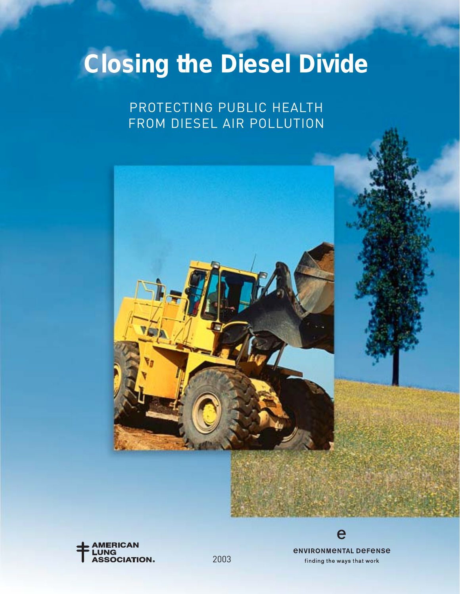# **Closing the Diesel Divide**

### PROTECTING PUBLIC HEALTH FROM DIESEL AIR POLLUTION





*<u>ENVIRONMENTAL DEFENSE</u>* finding the ways that work

e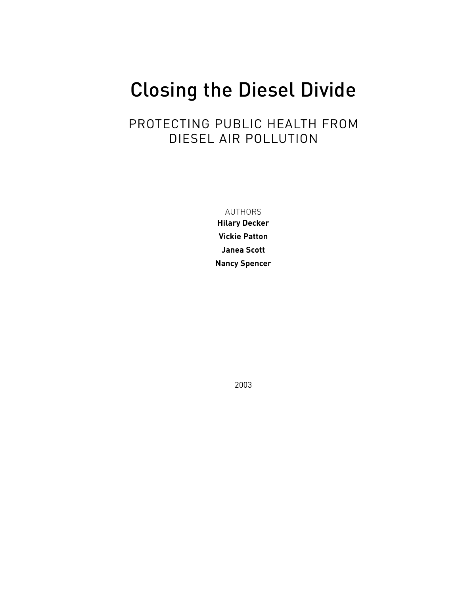## Closing the Diesel Divide

### PROTECTING PUBLIC HEALTH FROM DIESEL AIR POLLUTION

AUTHORS

**Hilary Decker Vickie Patton Janea Scott Nancy Spencer**

2003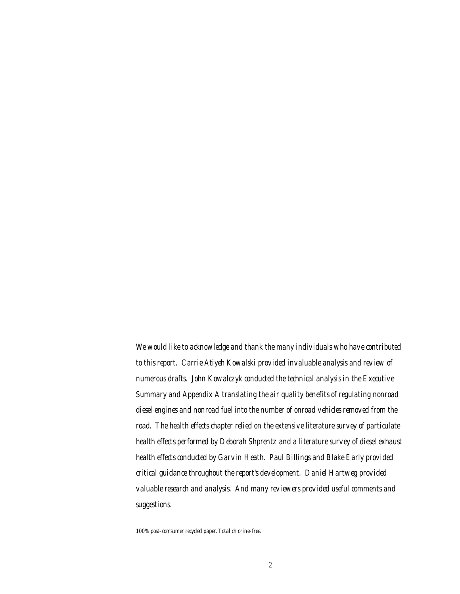*We would like to acknowledge and thank the many individuals who have contributed to this report. Carrie Atiyeh Kowalski provided invaluable analysis and review of numerous drafts. John Kowalczyk conducted the technical analysis in the Executive Summary and Appendix A translating the air quality benefits of regulating nonroad diesel engines and nonroad fuel into the number of onroad vehicles removed from the road. The health effects chapter relied on the extensive literature survey of particulate health effects performed by Deborah Shprentz and a literature survey of diesel exhaust health effects conducted by Garvin Heath. Paul Billings and Blake Early provided critical guidance throughout the report's development. Daniel Hartweg provided valuable research and analysis. And many reviewers provided useful comments and suggestions.*

*100% post-comsumer recycled paper. Total chlorine-free.*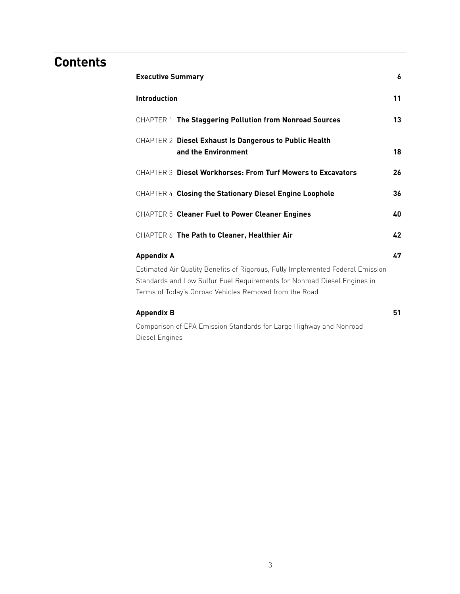### **Contents**

| <b>Executive Summary</b>                                                                                                                                                                                                                  | 6  |
|-------------------------------------------------------------------------------------------------------------------------------------------------------------------------------------------------------------------------------------------|----|
| <b>Introduction</b>                                                                                                                                                                                                                       | 11 |
| CHAPTER 1 The Staggering Pollution from Nonroad Sources                                                                                                                                                                                   | 13 |
| CHAPTER 2 Diesel Exhaust Is Dangerous to Public Health<br>and the Environment                                                                                                                                                             | 18 |
| <b>CHAPTER 3 Diesel Workhorses: From Turf Mowers to Excavators</b>                                                                                                                                                                        | 26 |
| CHAPTER 4 Closing the Stationary Diesel Engine Loophole                                                                                                                                                                                   | 36 |
| CHAPTER 5 Cleaner Fuel to Power Cleaner Engines                                                                                                                                                                                           | 40 |
| CHAPTER 6 The Path to Cleaner, Healthier Air                                                                                                                                                                                              | 42 |
| <b>Appendix A</b><br>Estimated Air Quality Benefits of Rigorous, Fully Implemented Federal Emission<br>Standards and Low Sulfur Fuel Requirements for Nonroad Diesel Engines in<br>Terms of Today's Onroad Vehicles Removed from the Road | 47 |
| <b>Appendix B</b>                                                                                                                                                                                                                         | 51 |
| Comparison of EPA Emission Standards for Large Highway and Nonroad                                                                                                                                                                        |    |

Diesel Engines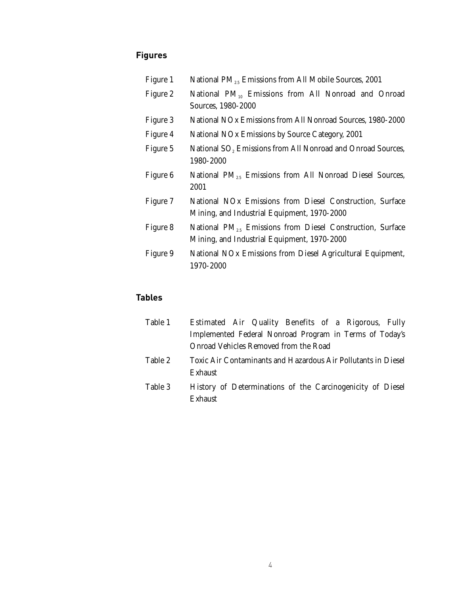### **Figures**

| Figure 1 | National $PM_{2.5}$ Emissions from All Mobile Sources, 2001                                                           |  |  |  |  |
|----------|-----------------------------------------------------------------------------------------------------------------------|--|--|--|--|
| Figure 2 | National PM <sub>10</sub> Emissions from All Nonroad and Onroad<br>Sources, 1980-2000                                 |  |  |  |  |
| Figure 3 | National NOx Emissions from All Nonroad Sources, 1980-2000                                                            |  |  |  |  |
| Figure 4 | National NO <sub>x</sub> Emissions by Source Category, 2001                                                           |  |  |  |  |
| Figure 5 | National SO <sub>2</sub> Emissions from All Nonroad and Onroad Sources,<br>1980-2000                                  |  |  |  |  |
| Figure 6 | National $PM_{2.5}$ Emissions from All Nonroad Diesel Sources,<br>2001                                                |  |  |  |  |
| Figure 7 | National NO <sub>x</sub> Emissions from Diesel Construction, Surface<br>Mining, and Industrial Equipment, 1970-2000   |  |  |  |  |
| Figure 8 | National PM <sub>2.5</sub> Emissions from Diesel Construction, Surface<br>Mining, and Industrial Equipment, 1970-2000 |  |  |  |  |
| Figure 9 | National NO <sub>x</sub> Emissions from Diesel Agricultural Equipment,<br>1970-2000                                   |  |  |  |  |

### **Tables**

| Table 1 | Estimated Air Quality Benefits of a Rigorous, Fully           |
|---------|---------------------------------------------------------------|
|         | Implemented Federal Nonroad Program in Terms of Today's       |
|         | Onroad Vehicles Removed from the Road                         |
| Table 2 | Toxic Air Contaminants and Hazardous Air Pollutants in Diesel |
|         | Exhaust                                                       |
| Table 3 | History of Determinations of the Carcinogenicity of Diesel    |
|         | Exhaust                                                       |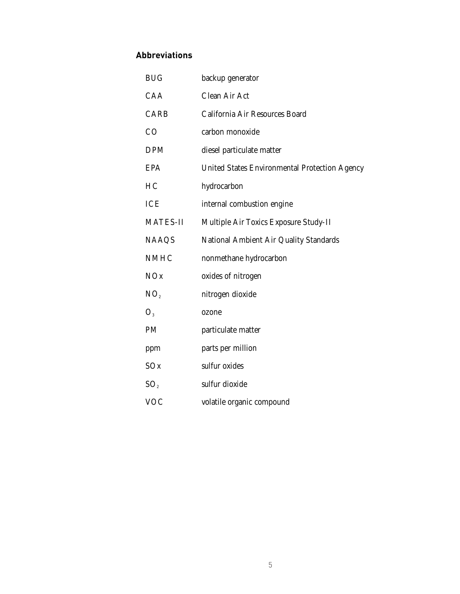### **Abbreviations**

| <b>BUG</b>      | backup generator                                     |
|-----------------|------------------------------------------------------|
| CAA             | <b>Clean Air Act</b>                                 |
| <b>CARB</b>     | California Air Resources Board                       |
| CO              | carbon monoxide                                      |
| <b>DPM</b>      | diesel particulate matter                            |
| <b>EPA</b>      | <b>United States Environmental Protection Agency</b> |
| HC              | hydrocarbon                                          |
| <b>ICE</b>      | internal combustion engine                           |
| <b>MATES-II</b> | Multiple Air Toxics Exposure Study-II                |
| <b>NAAQS</b>    | <b>National Ambient Air Quality Standards</b>        |
| <b>NMHC</b>     | nonmethane hydrocarbon                               |
| NOx             | oxides of nitrogen                                   |
| NO <sub>2</sub> | nitrogen dioxide                                     |
| O <sub>3</sub>  | ozone                                                |
| PM              | particulate matter                                   |
| ppm             | parts per million                                    |
| SOx             | sulfur oxides                                        |
| SO <sub>2</sub> | sulfur dioxide                                       |
| <b>VOC</b>      | volatile organic compound                            |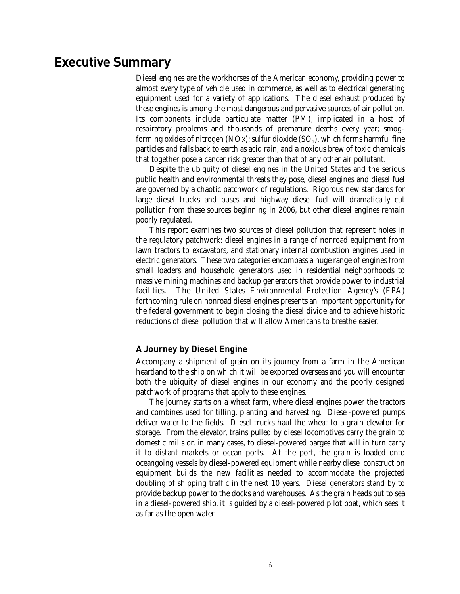### **Executive Summary**

Diesel engines are the workhorses of the American economy, providing power to almost every type of vehicle used in commerce, as well as to electrical generating equipment used for a variety of applications. The diesel exhaust produced by these engines is among the most dangerous and pervasive sources of air pollution. Its components include particulate matter (PM), implicated in a host of respiratory problems and thousands of premature deaths every year; smogforming oxides of nitrogen (NOx); sulfur dioxide  $(SO_2)$ , which forms harmful fine particles and falls back to earth as acid rain; and a noxious brew of toxic chemicals that together pose a cancer risk greater than that of any other air pollutant.

Despite the ubiquity of diesel engines in the United States and the serious public health and environmental threats they pose, diesel engines and diesel fuel are governed by a chaotic patchwork of regulations. Rigorous new standards for large diesel trucks and buses and highway diesel fuel will dramatically cut pollution from these sources beginning in 2006, but other diesel engines remain poorly regulated.

This report examines two sources of diesel pollution that represent holes in the regulatory patchwork: diesel engines in a range of nonroad equipment from lawn tractors to excavators, and stationary internal combustion engines used in electric generators. These two categories encompass a huge range of engines from small loaders and household generators used in residential neighborhoods to massive mining machines and backup generators that provide power to industrial facilities. The United States Environmental Protection Agency's (EPA) forthcoming rule on nonroad diesel engines presents an important opportunity for the federal government to begin closing the diesel divide and to achieve historic reductions of diesel pollution that will allow Americans to breathe easier.

### **A Journey by Diesel Engine**

Accompany a shipment of grain on its journey from a farm in the American heartland to the ship on which it will be exported overseas and you will encounter both the ubiquity of diesel engines in our economy and the poorly designed patchwork of programs that apply to these engines.

The journey starts on a wheat farm, where diesel engines power the tractors and combines used for tilling, planting and harvesting. Diesel-powered pumps deliver water to the fields. Diesel trucks haul the wheat to a grain elevator for storage. From the elevator, trains pulled by diesel locomotives carry the grain to domestic mills or, in many cases, to diesel-powered barges that will in turn carry it to distant markets or ocean ports. At the port, the grain is loaded onto oceangoing vessels by diesel-powered equipment while nearby diesel construction equipment builds the new facilities needed to accommodate the projected doubling of shipping traffic in the next 10 years. Diesel generators stand by to provide backup power to the docks and warehouses. As the grain heads out to sea in a diesel-powered ship, it is guided by a diesel-powered pilot boat, which sees it as far as the open water.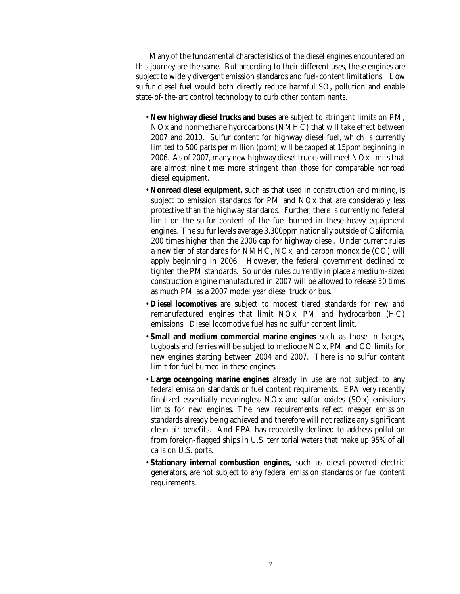Many of the fundamental characteristics of the diesel engines encountered on this journey are the same. But according to their different uses, these engines are subject to widely divergent emission standards and fuel-content limitations. Low sulfur diesel fuel would both directly reduce harmful SO<sub>2</sub> pollution and enable state-of-the-art control technology to curb other contaminants.

- **New highway diesel trucks and buses** are subject to stringent limits on PM, NOx and nonmethane hydrocarbons (NMHC) that will take effect between 2007 and 2010. Sulfur content for highway diesel fuel, which is currently limited to 500 parts per million (ppm), will be capped at 15ppm beginning in 2006. As of 2007, many new highway diesel trucks will meet NOx limits that are almost *nine times* more stringent than those for comparable nonroad diesel equipment.
- **Nonroad diesel equipment,** such as that used in construction and mining, is subject to emission standards for PM and NOx that are considerably less protective than the highway standards. Further, there is currently no federal limit on the sulfur content of the fuel burned in these heavy equipment engines. The sulfur levels average 3,300ppm nationally outside of California, 200 times higher than the 2006 cap for highway diesel. Under current rules a new tier of standards for NMHC, NOx, and carbon monoxide (CO) will apply beginning in 2006. However, the federal government declined to tighten the PM standards. So under rules currently in place a medium-sized construction engine manufactured in 2007 will be allowed to release *30 times* as much PM as a 2007 model year diesel truck or bus.
- **Diesel locomotives** are subject to modest tiered standards for new and remanufactured engines that limit NOx, PM and hydrocarbon (HC) emissions. Diesel locomotive fuel has no sulfur content limit.
- **Small and medium commercial marine engines** such as those in barges, tugboats and ferries will be subject to mediocre NOx, PM and CO limits for new engines starting between 2004 and 2007. There is no sulfur content limit for fuel burned in these engines.
- **Large oceangoing marine engines** already in use are not subject to any federal emission standards or fuel content requirements. EPA very recently finalized essentially meaningless NOx and sulfur oxides (SOx) emissions limits for new engines. The new requirements reflect meager emission standards already being achieved and therefore will not realize any significant clean air benefits. And EPA has repeatedly declined to address pollution from foreign-flagged ships in U.S. territorial waters that make up 95% of all calls on U.S. ports.
- **Stationary internal combustion engines,** such as diesel-powered electric generators, are not subject to any federal emission standards or fuel content requirements.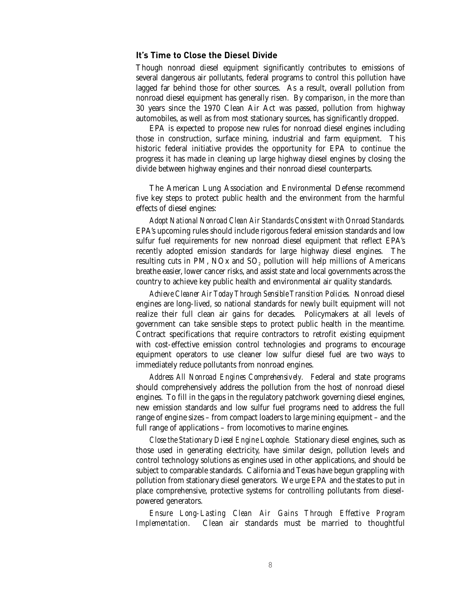### **It's Time to Close the Diesel Divide**

Though nonroad diesel equipment significantly contributes to emissions of several dangerous air pollutants, federal programs to control this pollution have lagged far behind those for other sources. As a result, overall pollution from nonroad diesel equipment has generally risen. By comparison, in the more than 30 years since the 1970 Clean Air Act was passed, pollution from highway automobiles, as well as from most stationary sources, has significantly dropped.

EPA is expected to propose new rules for nonroad diesel engines including those in construction, surface mining, industrial and farm equipment. This historic federal initiative provides the opportunity for EPA to continue the progress it has made in cleaning up large highway diesel engines by closing the divide between highway engines and their nonroad diesel counterparts.

The American Lung Association and Environmental Defense recommend five key steps to protect public health and the environment from the harmful effects of diesel engines:

*Adopt National Nonroad Clean Air Standards Consistent with Onroad Standards.* EPA's upcoming rules should include rigorous federal emission standards and low sulfur fuel requirements for new nonroad diesel equipment that reflect EPA's recently adopted emission standards for large highway diesel engines. The resulting cuts in PM, NOx and SO<sub>2</sub> pollution will help millions of Americans breathe easier, lower cancer risks, and assist state and local governments across the country to achieve key public health and environmental air quality standards.

*Achieve Cleaner Air Today Through Sensible Transition Policies.* Nonroad diesel engines are long-lived, so national standards for newly built equipment will not realize their full clean air gains for decades. Policymakers at all levels of government can take sensible steps to protect public health in the meantime. Contract specifications that require contractors to retrofit existing equipment with cost-effective emission control technologies and programs to encourage equipment operators to use cleaner low sulfur diesel fuel are two ways to immediately reduce pollutants from nonroad engines.

*Address All Nonroad Engines Comprehensively.* Federal and state programs should comprehensively address the pollution from the host of nonroad diesel engines. To fill in the gaps in the regulatory patchwork governing diesel engines, new emission standards and low sulfur fuel programs need to address the full range of engine sizes – from compact loaders to large mining equipment – and the full range of applications – from locomotives to marine engines.

*Close the Stationary Diesel Engine Loophole.* Stationary diesel engines, such as those used in generating electricity, have similar design, pollution levels and control technology solutions as engines used in other applications, and should be subject to comparable standards. California and Texas have begun grappling with pollution from stationary diesel generators. We urge EPA and the states to put in place comprehensive, protective systems for controlling pollutants from dieselpowered generators.

*Ensure Long-Lasting Clean Air Gains Through Effective Program Implementation.* Clean air standards must be married to thoughtful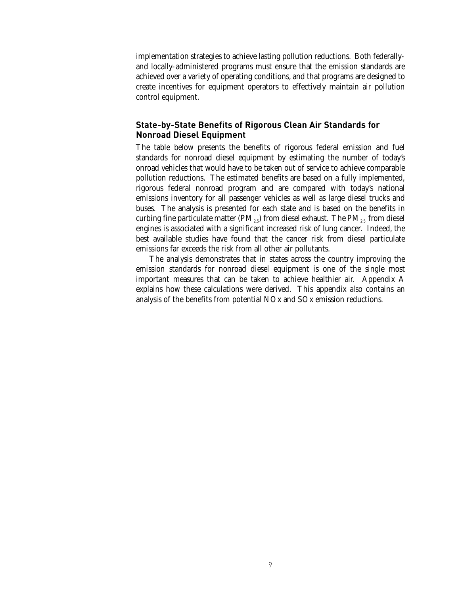implementation strategies to achieve lasting pollution reductions. Both federallyand locally-administered programs must ensure that the emission standards are achieved over a variety of operating conditions, and that programs are designed to create incentives for equipment operators to effectively maintain air pollution control equipment.

### **State-by-State Benefits of Rigorous Clean Air Standards for Nonroad Diesel Equipment**

The table below presents the benefits of rigorous federal emission and fuel standards for nonroad diesel equipment by estimating the number of today's onroad vehicles that would have to be taken out of service to achieve comparable pollution reductions. The estimated benefits are based on a fully implemented, rigorous federal nonroad program and are compared with today's national emissions inventory for all passenger vehicles as well as large diesel trucks and buses. The analysis is presented for each state and is based on the benefits in curbing fine particulate matter ( $PM_{2.5}$ ) from diesel exhaust. The  $PM_{2.5}$  from diesel engines is associated with a significant increased risk of lung cancer. Indeed, the best available studies have found that the cancer risk from diesel particulate emissions far exceeds the risk from all other air pollutants.

The analysis demonstrates that in states across the country improving the emission standards for nonroad diesel equipment is one of the single most important measures that can be taken to achieve healthier air. Appendix A explains how these calculations were derived. This appendix also contains an analysis of the benefits from potential NOx and SOx emission reductions.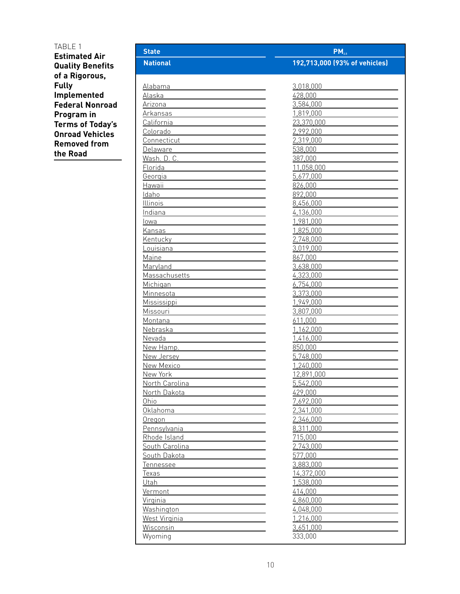### TABLE 1 **Estimated Air Quality Benefits of a Rigorous, Fully Implemented Federal Nonroad Program in Terms of Today's Onroad Vehicles Removed from the Road**

| <b>State</b>    | $PM_{25}$                     |
|-----------------|-------------------------------|
| <b>National</b> | 192,713,000 (93% of vehicles) |
|                 |                               |
| Alabama         | 3,018,000                     |
| Alaska          | 428,000                       |
| Arizona         | 3,584,000                     |
| Arkansas        | 1,819,000                     |
| California      | 23,370,000                    |
| Colorado        | 2,992,000                     |
| Connecticut     | 2,319,000                     |
| Delaware        | 538,000                       |
| Wash. D. C.     | 387,000                       |
| Florida         | 11,058,000                    |
| Georgia         | 5,677,000                     |
| Hawaii          | 826,000                       |
| Idaho           | 892,000                       |
| Illinois        | 8,456,000                     |
| Indiana         | 4,136,000                     |
| lowa            | 1,981,000                     |
| Kansas          | 1,825,000                     |
| Kentucky        | 2,748,000                     |
| Louisiana       | 3,019,000                     |
| Maine           | 867,000                       |
| Maryland        | 3,638,000                     |
| Massachusetts   | 4,323,000                     |
| Michigan        | 6,754,000                     |
| Minnesota       | 3,373,000                     |
| Mississippi     | 1,949,000                     |
| Missouri        | 3,807,000                     |
| Montana         | 611,000                       |
| Nebraska        | 1,162,000                     |
| Nevada          | 1,416,000                     |
| New Hamp.       | 850,000                       |
| New Jersey      | 5,748,000                     |
| New Mexico      | 1,240,000                     |
| New York        | 12,891,000                    |
| North Carolina  | 5,542,000                     |
| North Dakota    | 429,000                       |
| Ohio            | 7,692,000                     |
| Oklahoma        | 2,341,000                     |
| Oregon          | 2,346,000                     |
| Pennsylvania    | 8,311,000                     |
| Rhode Island    | 715,000                       |
| South Carolina  | 2,743,000                     |
| South Dakota    | 577,000                       |
| Tennessee       | 3,883,000                     |
| Texas           | 14,372,000                    |
| Utah            | 1,538,000                     |
| Vermont         | 414,000                       |
| Virginia        | 4,860,000                     |
| Washington      | 4,048,000                     |
| West Virginia   | 1,216,000                     |
| Wisconsin       | 3,651,000                     |
| Wyoming         | 333,000                       |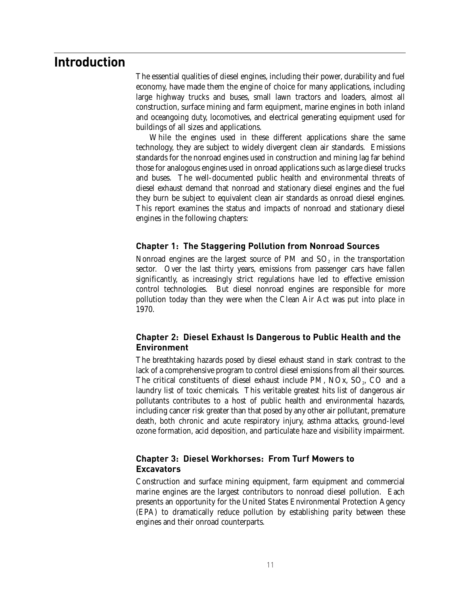### **Introduction**

The essential qualities of diesel engines, including their power, durability and fuel economy, have made them the engine of choice for many applications, including large highway trucks and buses, small lawn tractors and loaders, almost all construction, surface mining and farm equipment, marine engines in both inland and oceangoing duty, locomotives, and electrical generating equipment used for buildings of all sizes and applications.

While the engines used in these different applications share the same technology, they are subject to widely divergent clean air standards. Emissions standards for the nonroad engines used in construction and mining lag far behind those for analogous engines used in onroad applications such as large diesel trucks and buses. The well-documented public health and environmental threats of diesel exhaust demand that nonroad and stationary diesel engines and the fuel they burn be subject to equivalent clean air standards as onroad diesel engines. This report examines the status and impacts of nonroad and stationary diesel engines in the following chapters:

### **Chapter 1: The Staggering Pollution from Nonroad Sources**

Nonroad engines are the largest source of PM and  $SO<sub>2</sub>$  in the transportation sector. Over the last thirty years, emissions from passenger cars have fallen significantly, as increasingly strict regulations have led to effective emission control technologies. But diesel nonroad engines are responsible for more pollution today than they were when the Clean Air Act was put into place in 1970.

### **Chapter 2: Diesel Exhaust Is Dangerous to Public Health and the Environment**

The breathtaking hazards posed by diesel exhaust stand in stark contrast to the lack of a comprehensive program to control diesel emissions from all their sources. The critical constituents of diesel exhaust include  $PM$ ,  $NOx$ ,  $SO<sub>2</sub>$ ,  $CO$  and a laundry list of toxic chemicals. This veritable greatest hits list of dangerous air pollutants contributes to a host of public health and environmental hazards, including cancer risk greater than that posed by any other air pollutant, premature death, both chronic and acute respiratory injury, asthma attacks, ground-level ozone formation, acid deposition, and particulate haze and visibility impairment.

### **Chapter 3: Diesel Workhorses: From Turf Mowers to Excavators**

Construction and surface mining equipment, farm equipment and commercial marine engines are the largest contributors to nonroad diesel pollution. Each presents an opportunity for the United States Environmental Protection Agency (EPA) to dramatically reduce pollution by establishing parity between these engines and their onroad counterparts.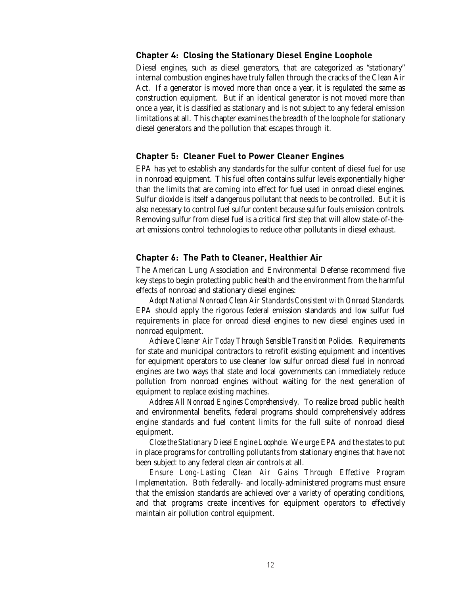### **Chapter 4: Closing the Stationary Diesel Engine Loophole**

Diesel engines, such as diesel generators, that are categorized as "stationary" internal combustion engines have truly fallen through the cracks of the Clean Air Act. If a generator is moved more than once a year, it is regulated the same as construction equipment. But if an identical generator is not moved more than once a year, it is classified as stationary and is not subject to any federal emission limitations at all. This chapter examines the breadth of the loophole for stationary diesel generators and the pollution that escapes through it.

#### **Chapter 5: Cleaner Fuel to Power Cleaner Engines**

EPA has yet to establish any standards for the sulfur content of diesel fuel for use in nonroad equipment. This fuel often contains sulfur levels exponentially higher than the limits that are coming into effect for fuel used in onroad diesel engines. Sulfur dioxide is itself a dangerous pollutant that needs to be controlled. But it is also necessary to control fuel sulfur content because sulfur fouls emission controls. Removing sulfur from diesel fuel is a critical first step that will allow state-of-theart emissions control technologies to reduce other pollutants in diesel exhaust.

#### **Chapter 6: The Path to Cleaner, Healthier Air**

The American Lung Association and Environmental Defense recommend five key steps to begin protecting public health and the environment from the harmful effects of nonroad and stationary diesel engines:

*Adopt National Nonroad Clean Air Standards Consistent with Onroad Standards.* EPA should apply the rigorous federal emission standards and low sulfur fuel requirements in place for onroad diesel engines to new diesel engines used in nonroad equipment.

*Achieve Cleaner Air Today Through Sensible Transition Policies.* Requirements for state and municipal contractors to retrofit existing equipment and incentives for equipment operators to use cleaner low sulfur onroad diesel fuel in nonroad engines are two ways that state and local governments can immediately reduce pollution from nonroad engines without waiting for the next generation of equipment to replace existing machines.

*Address All Nonroad Engines Comprehensively.* To realize broad public health and environmental benefits, federal programs should comprehensively address engine standards and fuel content limits for the full suite of nonroad diesel equipment.

*Close the Stationary Diesel Engine Loophole.* We urge EPA and the states to put in place programs for controlling pollutants from stationary engines that have not been subject to any federal clean air controls at all.

*Ensure Long-Lasting Clean Air Gains Through Effective Program Implementation.* Both federally- and locally-administered programs must ensure that the emission standards are achieved over a variety of operating conditions, and that programs create incentives for equipment operators to effectively maintain air pollution control equipment.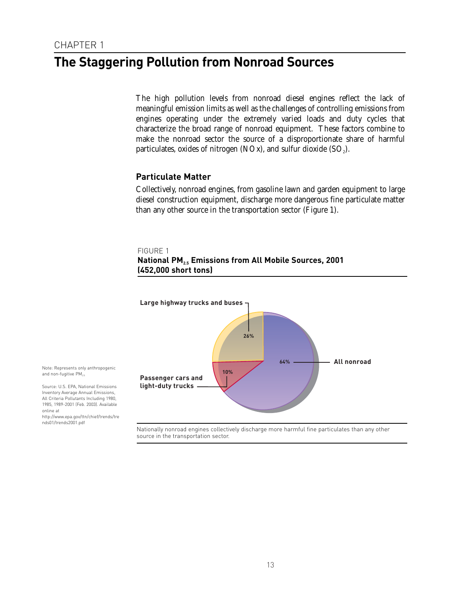### **The Staggering Pollution from Nonroad Sources**

The high pollution levels from nonroad diesel engines reflect the lack of meaningful emission limits as well as the challenges of controlling emissions from engines operating under the extremely varied loads and duty cycles that characterize the broad range of nonroad equipment. These factors combine to make the nonroad sector the source of a disproportionate share of harmful particulates, oxides of nitrogen (NOx), and sulfur dioxide  $(SO<sub>2</sub>)$ .

### **Particulate Matter**

Collectively, nonroad engines, from gasoline lawn and garden equipment to large diesel construction equipment, discharge more dangerous fine particulate matter than any other source in the transportation sector (Figure 1).

#### FIGURE 1





http://www.epa.gov/ttn/chief/trends/tre nds01/trends2001.pdf

online at

Nationally nonroad engines collectively discharge more harmful fine particulates than any other source in the transportation sector.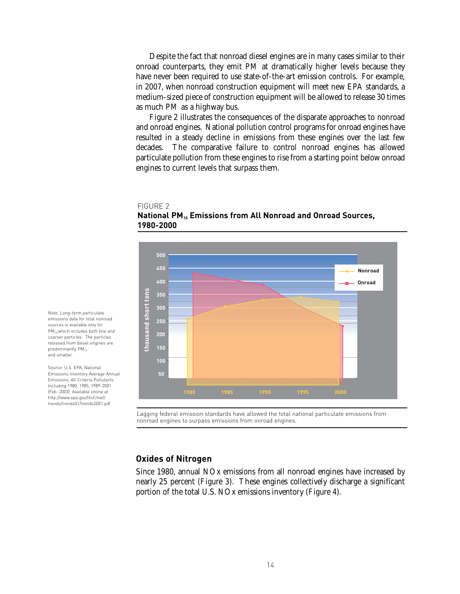Despite the fact that nonroad diesel engines are in many cases similar to their onroad counterparts, they emit PM at dramatically higher levels because they have never been required to use state-of-the-art emission controls. For example, in 2007, when nonroad construction equipment will meet new EPA standards, a medium-sized piece of construction equipment will be allowed to release 30 times as much PM as a highway bus.

Figure 2 illustrates the consequences of the disparate approaches to nonroad and onroad engines. National pollution control programs for onroad engines have resulted in a steady decline in emissions from these engines over the last few decades. The comparative failure to control nonroad engines has allowed particulate pollution from these engines to rise from a starting point below onroad engines to current levels that surpass them.

### FIGURE 2 **National PM10 Emissions from All Nonroad and Onroad Sources, 1980-2000**



Note: Long-term particulate emissions data for total nonroad sources is available only for PM<sub>10</sub>, which includes both fine and coarser particles. The particles released from diesel engines are predominantly PM<sub>25</sub> and smaller.

Source: U.S. EPA, National Emissions Inventory Average Annual Emissions, All Criteria Pollutants Including 1980, 1985, 1989-2001 (Feb. 2003). Available online at http://www.epa.gov/ttn/chief/ trends/trends01/trends2001.pdf

Lagging federal emission standards have allowed the total national particulate emissions from nonroad engines to surpass emissions from onroad engines.

### **Oxides of Nitrogen**

Since 1980, annual NOx emissions from all nonroad engines have increased by nearly 25 percent (Figure 3). These engines collectively discharge a significant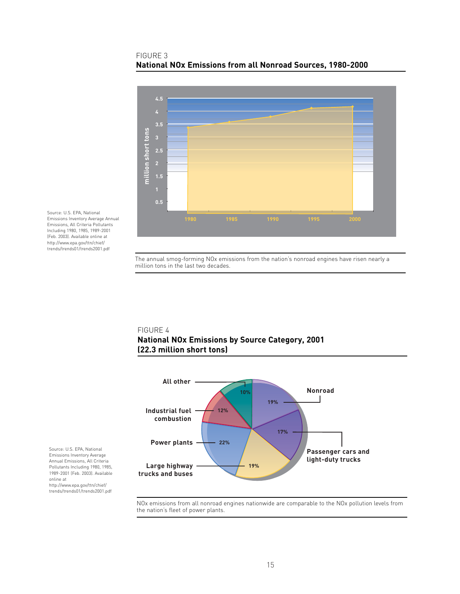### FIGURE 3 **National NOx Emissions from all Nonroad Sources, 1980-2000**



Source: U.S. EPA, National Emissions Inventory Average Annual Emissions, All Criteria Pollutants Including 1980, 1985, 1989-2001 (Feb. 2003). Available online at http://www.epa.gov/ttn/chief/ trends/trends01/trends2001.pdf

> The annual smog-forming NOx emissions from the nation's nonroad engines have risen nearly a million tons in the last two decades.

### FIGURE 4 **National NOx Emissions by Source Category, 2001 (22.3 million short tons)**



Source: U.S. EPA, National Emissions Inventory Average Annual Emissions, All Criteria Pollutants Including 1980, 1985, 1989-2001 (Feb. 2003). Available online at http://www.epa.gov/ttn/chief/ trends/trends01/trends2001.pdf

> NOx emissions from all nonroad engines nationwide are comparable to the NOx pollution levels from the nation's fleet of power plants.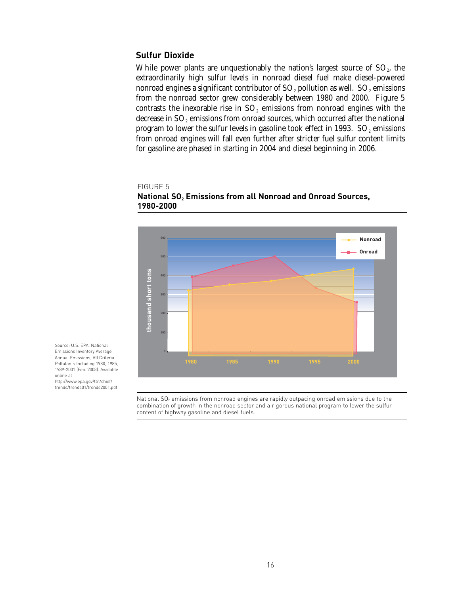### **Sulfur Dioxide**

FIGURE 5

While power plants are unquestionably the nation's largest source of  $SO<sub>2</sub>$ , the extraordinarily high sulfur levels in nonroad diesel fuel make diesel-powered nonroad engines a significant contributor of  $SO<sub>2</sub>$  pollution as well.  $SO<sub>2</sub>$  emissions from the nonroad sector grew considerably between 1980 and 2000. Figure 5 contrasts the inexorable rise in  $SO<sub>2</sub>$  emissions from nonroad engines with the decrease in  $SO<sub>2</sub>$  emissions from onroad sources, which occurred after the national program to lower the sulfur levels in gasoline took effect in 1993.  $SO<sub>2</sub>$  emissions from onroad engines will fall even further after stricter fuel sulfur content limits for gasoline are phased in starting in 2004 and diesel beginning in 2006.

### **National SO<sub>2</sub> Emissions from all Nonroad and Onroad Sources, 1980-2000**



Source: U.S. EPA, National Emissions Inventory Average Annual Emissions, All Criteria Pollutants Including 1980, 1985, 1989-2001 (Feb. 2003). Available online at http://www.epa.gov/ttn/chief/

trends/trends01/trends2001.pdf

National  $SO<sub>2</sub>$  emissions from nonroad engines are rapidly outpacing onroad emissions due to the combination of growth in the nonroad sector and a rigorous national program to lower the sulfur content of highway gasoline and diesel fuels.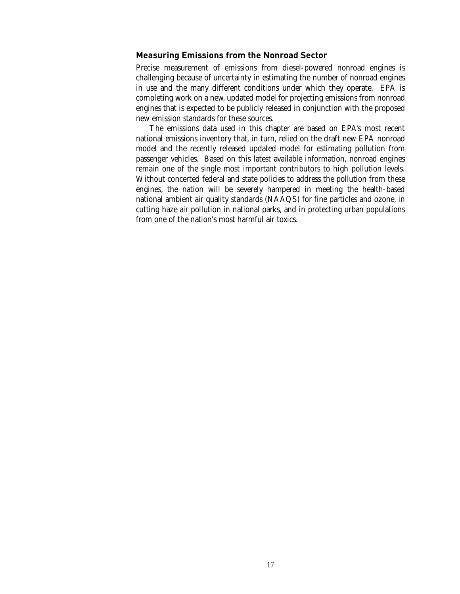#### **Measuring Emissions from the Nonroad Sector**

Precise measurement of emissions from diesel-powered nonroad engines is challenging because of uncertainty in estimating the number of nonroad engines in use and the many different conditions under which they operate. EPA is completing work on a new, updated model for projecting emissions from nonroad engines that is expected to be publicly released in conjunction with the proposed new emission standards for these sources.

The emissions data used in this chapter are based on EPA's most recent national emissions inventory that, in turn, relied on the draft new EPA nonroad model and the recently released updated model for estimating pollution from passenger vehicles. Based on this latest available information, nonroad engines remain one of the single most important contributors to high pollution levels. Without concerted federal and state policies to address the pollution from these engines, the nation will be severely hampered in meeting the health-based national ambient air quality standards (NAAQS) for fine particles and ozone, in cutting haze air pollution in national parks, and in protecting urban populations from one of the nation's most harmful air toxics.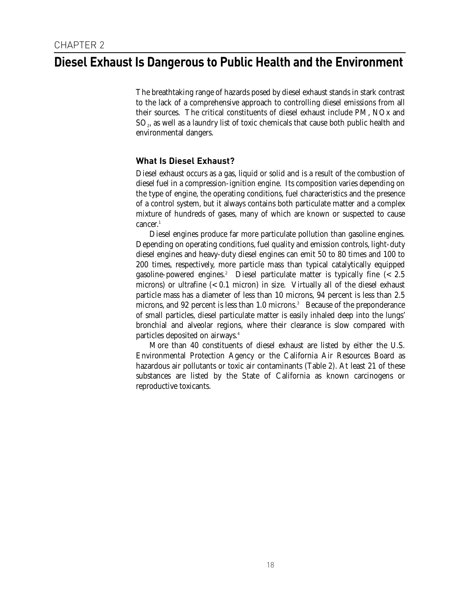### **Diesel Exhaust Is Dangerous to Public Health and the Environment**

The breathtaking range of hazards posed by diesel exhaust stands in stark contrast to the lack of a comprehensive approach to controlling diesel emissions from all their sources. The critical constituents of diesel exhaust include PM, NOx and SO<sub>2</sub>, as well as a laundry list of toxic chemicals that cause both public health and environmental dangers.

### **What Is Diesel Exhaust?**

Diesel exhaust occurs as a gas, liquid or solid and is a result of the combustion of diesel fuel in a compression-ignition engine. Its composition varies depending on the type of engine, the operating conditions, fuel characteristics and the presence of a control system, but it always contains both particulate matter and a complex mixture of hundreds of gases, many of which are known or suspected to cause  $cancer.<sup>1</sup>$ 

Diesel engines produce far more particulate pollution than gasoline engines. Depending on operating conditions, fuel quality and emission controls, light-duty diesel engines and heavy-duty diesel engines can emit 50 to 80 times and 100 to 200 times, respectively, more particle mass than typical catalytically equipped gasoline-powered engines.<sup>2</sup> Diesel particulate matter is typically fine  $\approx 2.5$ microns) or ultrafine (< 0.1 micron) in size. Virtually all of the diesel exhaust particle mass has a diameter of less than 10 microns, 94 percent is less than 2.5 microns, and 92 percent is less than 1.0 microns.<sup>3</sup> Because of the preponderance of small particles, diesel particulate matter is easily inhaled deep into the lungs' bronchial and alveolar regions, where their clearance is slow compared with particles deposited on airways.4

More than 40 constituents of diesel exhaust are listed by either the U.S. Environmental Protection Agency or the California Air Resources Board as hazardous air pollutants or toxic air contaminants (Table 2). At least 21 of these substances are listed by the State of California as known carcinogens or reproductive toxicants.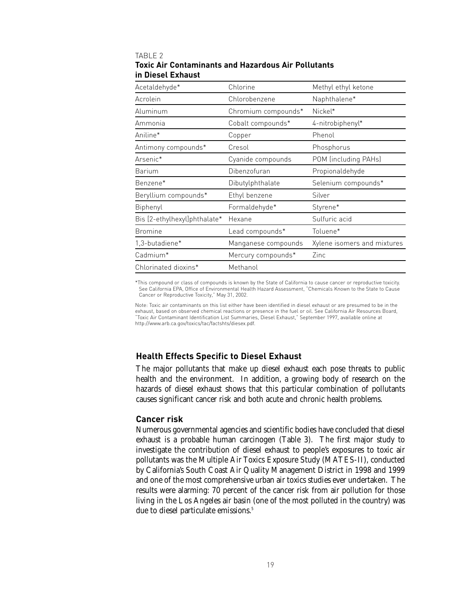### TABLE 2 **Toxic Air Contaminants and Hazardous Air Pollutants in Diesel Exhaust**

| Acetaldehyde*                | Chlorine            | Methyl ethyl ketone         |  |
|------------------------------|---------------------|-----------------------------|--|
| Acrolein                     | Chlorobenzene       | Naphthalene*                |  |
| Aluminum                     | Chromium compounds* | Nickel*                     |  |
| Ammonia                      | Cobalt compounds*   | 4-nitrobiphenyl*            |  |
| Aniline*                     | Copper              | Phenol                      |  |
| Antimony compounds*          | Cresol              | Phosphorus                  |  |
| Arsenic*                     | Cyanide compounds   | POM (including PAHs)        |  |
| Barium                       | Dibenzofuran        | Propionaldehyde             |  |
| Benzene*                     | Dibutylphthalate    | Selenium compounds*         |  |
| Beryllium compounds*         | Ethyl benzene       | Silver                      |  |
| Biphenyl                     | Formaldehyde*       | Styrene*                    |  |
| Bis [2-ethylhexyl]phthalate* | Hexane              | Sulfuric acid               |  |
| <b>Bromine</b>               | Lead compounds*     | Toluene*                    |  |
| 1,3-butadiene*               | Manganese compounds | Xylene isomers and mixtures |  |
| Cadmium*                     | Mercury compounds*  | Zinc                        |  |
| Chlorinated dioxins*         | Methanol            |                             |  |

\*This compound or class of compounds is known by the State of California to cause cancer or reproductive toxicity. See California EPA, Office of Environmental Health Hazard Assessment, "Chemicals Known to the State to Cause Cancer or Reproductive Toxicity," May 31, 2002.

Note: Toxic air contaminants on this list either have been identified in diesel exhaust or are presumed to be in the exhaust, based on observed chemical reactions or presence in the fuel or oil. See California Air Resources Board, "Toxic Air Contaminant Identification List Summaries, Diesel Exhaust," September 1997, available online at http://www.arb.ca.gov/toxics/tac/factshts/diesex.pdf.

### **Health Effects Specific to Diesel Exhaust**

The major pollutants that make up diesel exhaust each pose threats to public health and the environment. In addition, a growing body of research on the hazards of diesel exhaust shows that this particular combination of pollutants causes significant cancer risk and both acute and chronic health problems.

### **Cancer risk**

Numerous governmental agencies and scientific bodies have concluded that diesel exhaust is a probable human carcinogen (Table 3). The first major study to investigate the contribution of diesel exhaust to people's exposures to toxic air pollutants was the Multiple Air Toxics Exposure Study (MATES-II), conducted by California's South Coast Air Quality Management District in 1998 and 1999 and one of the most comprehensive urban air toxics studies ever undertaken. The results were alarming: 70 percent of the cancer risk from air pollution for those living in the Los Angeles air basin (one of the most polluted in the country) was due to diesel particulate emissions.<sup>5</sup>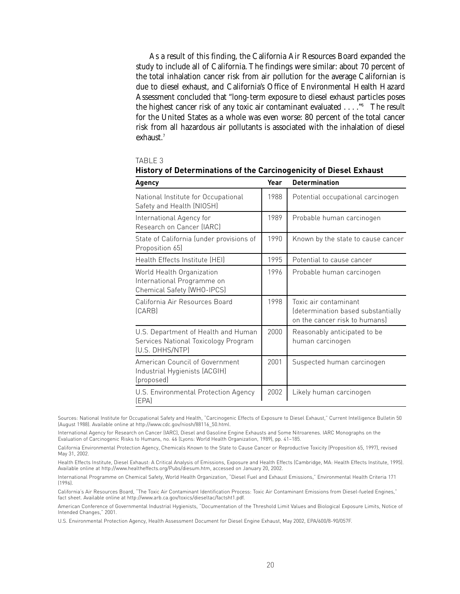As a result of this finding, the California Air Resources Board expanded the study to include all of California. The findings were similar: about 70 percent of the total inhalation cancer risk from air pollution for the average Californian is due to diesel exhaust, and California's Office of Environmental Health Hazard Assessment concluded that "long-term exposure to diesel exhaust particles poses the highest cancer risk of any toxic air contaminant evaluated . . . ."6 The result for the United States as a whole was even worse: 80 percent of the total cancer risk from all hazardous air pollutants is associated with the inhalation of diesel exhaust.<sup>7</sup>

| дĦ<br>ı. |  |
|----------|--|
|          |  |

| Agency                                                                                         | Year | <b>Determination</b>                                                                         |
|------------------------------------------------------------------------------------------------|------|----------------------------------------------------------------------------------------------|
| National Institute for Occupational<br>Safety and Health (NIOSH)                               | 1988 | Potential occupational carcinogen                                                            |
| International Agency for<br>Research on Cancer (IARC)                                          | 1989 | Probable human carcinogen                                                                    |
| State of California (under provisions of<br>Proposition 65)                                    | 1990 | Known by the state to cause cancer                                                           |
| Health Effects Institute (HEI)                                                                 | 1995 | Potential to cause cancer                                                                    |
| World Health Organization<br>International Programme on<br>Chemical Safety (WHO-IPCS)          | 1996 | Probable human carcinogen                                                                    |
| California Air Resources Board<br>(CARB)                                                       | 1998 | Toxic air contaminant<br>(determination based substantially<br>on the cancer risk to humansl |
| U.S. Department of Health and Human<br>Services National Toxicology Program<br>(U.S. DHHS/NTP) | 2000 | Reasonably anticipated to be<br>human carcinogen                                             |
| American Council of Government<br>Industrial Hygienists (ACGIH)<br>(proposed)                  | 2001 | Suspected human carcinogen                                                                   |
| U.S. Environmental Protection Agency<br>(EPA)                                                  | 2002 | Likely human carcinogen                                                                      |

**History of Determinations of the Carcinogenicity of Diesel Exhaust**

Sources: National Institute for Occupational Safety and Health, "Carcinogenic Effects of Exposure to Diesel Exhaust," Current Intelligence Bulletin 50 (August 1988). Available online at http://www.cdc.gov/niosh/88116\_50.html.

International Agency for Research on Cancer (IARC), Diesel and Gasoline Engine Exhausts and Some Nitroarenes. IARC Monographs on the Evaluation of Carcinogenic Risks to Humans, no. 46 (Lyons: World Health Organization, 1989), pp. 41–185.

California Environmental Protection Agency, Chemicals Known to the State to Cause Cancer or Reproductive Toxicity (Proposition 65, 1997), revised May 31, 2002.

Health Effects Institute, Diesel Exhaust: A Critical Analysis of Emissions, Exposure and Health Effects (Cambridge, MA: Health Effects Institute, 1995). Available online at http://www.healtheffects.org/Pubs/diesum.htm, accessed on January 20, 2002.

International Programme on Chemical Safety, World Health Organization, "Diesel Fuel and Exhaust Emissions," Environmental Health Criteria 171 (1996).

California's Air Resources Board, "The Toxic Air Contaminant Identification Process: Toxic Air Contaminant Emissions from Diesel-fueled Engines," fact sheet. Available online at http://www.arb.ca.gov/toxics/dieseltac/factsht1.pdf.

American Conference of Governmental Industrial Hygienists, "Documentation of the Threshold Limit Values and Biological Exposure Limits, Notice of Intended Changes," 2001.

U.S. Environmental Protection Agency, Health Assessment Document for Diesel Engine Exhaust, May 2002, EPA/600/8-90/057F.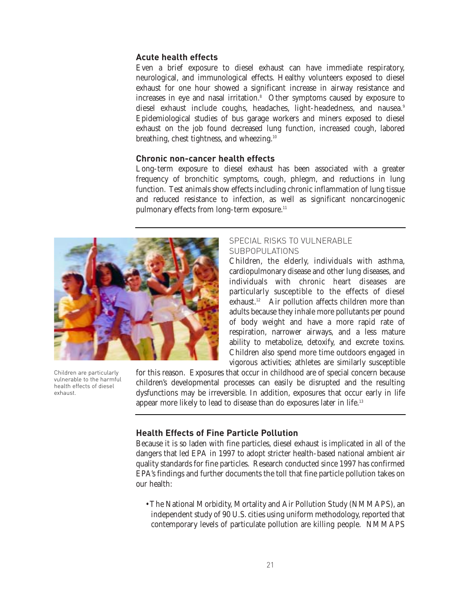### **Acute health effects**

Even a brief exposure to diesel exhaust can have immediate respiratory, neurological, and immunological effects. Healthy volunteers exposed to diesel exhaust for one hour showed a significant increase in airway resistance and increases in eye and nasal irritation.<sup>8</sup> Other symptoms caused by exposure to diesel exhaust include coughs, headaches, light-headedness, and nausea.<sup>9</sup> Epidemiological studies of bus garage workers and miners exposed to diesel exhaust on the job found decreased lung function, increased cough, labored breathing, chest tightness, and wheezing.<sup>10</sup>

### **Chronic non-cancer health effects**

Long-term exposure to diesel exhaust has been associated with a greater frequency of bronchitic symptoms, cough, phlegm, and reductions in lung function. Test animals show effects including chronic inflammation of lung tissue and reduced resistance to infection, as well as significant noncarcinogenic pulmonary effects from long-term exposure.<sup>11</sup>



Children are particularly vulnerable to the harmful health effects of diesel exhaust.

### SPECIAL RISKS TO VULNERABLE SUBPOPULATIONS

Children, the elderly, individuals with asthma, cardiopulmonary disease and other lung diseases, and individuals with chronic heart diseases are particularly susceptible to the effects of diesel exhaust.<sup>12</sup> Air pollution affects children more than adults because they inhale more pollutants per pound of body weight and have a more rapid rate of respiration, narrower airways, and a less mature ability to metabolize, detoxify, and excrete toxins. Children also spend more time outdoors engaged in vigorous activities; athletes are similarly susceptible

for this reason. Exposures that occur in childhood are of special concern because children's developmental processes can easily be disrupted and the resulting dysfunctions may be irreversible. In addition, exposures that occur early in life appear more likely to lead to disease than do exposures later in life.13

### **Health Effects of Fine Particle Pollution**

Because it is so laden with fine particles, diesel exhaust is implicated in all of the dangers that led EPA in 1997 to adopt stricter health-based national ambient air quality standards for fine particles. Research conducted since 1997 has confirmed EPA's findings and further documents the toll that fine particle pollution takes on our health:

• The National Morbidity, Mortality and Air Pollution Study (NMMAPS), an independent study of 90 U.S. cities using uniform methodology, reported that contemporary levels of particulate pollution are killing people. NMMAPS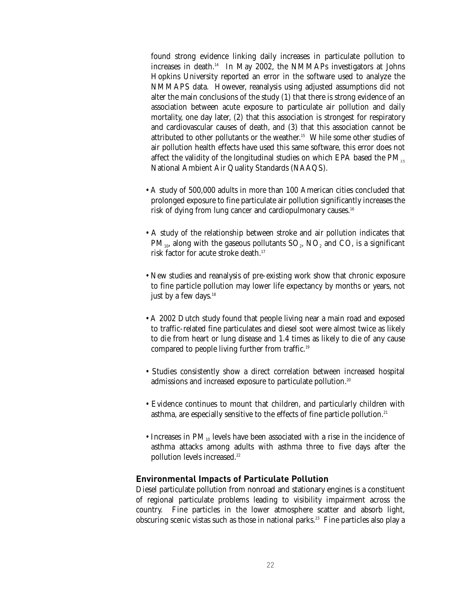found strong evidence linking daily increases in particulate pollution to increases in death.14 In May 2002, the NMMAPs investigators at Johns Hopkins University reported an error in the software used to analyze the NMMAPS data. However, reanalysis using adjusted assumptions did not alter the main conclusions of the study (1) that there is strong evidence of an association between acute exposure to particulate air pollution and daily mortality, one day later, (2) that this association is strongest for respiratory and cardiovascular causes of death, and (3) that this association cannot be attributed to other pollutants or the weather.<sup>15</sup> While some other studies of air pollution health effects have used this same software, this error does not affect the validity of the longitudinal studies on which EPA based the PM<sub>2</sub>. National Ambient Air Quality Standards (NAAQS).

- A study of 500,000 adults in more than 100 American cities concluded that prolonged exposure to fine particulate air pollution significantly increases the risk of dying from lung cancer and cardiopulmonary causes.<sup>16</sup>
- A study of the relationship between stroke and air pollution indicates that  $PM_{10}$ , along with the gaseous pollutants  $SO_2$ ,  $NO_2$  and  $CO$ , is a significant risk factor for acute stroke death.<sup>17</sup>
- New studies and reanalysis of pre-existing work show that chronic exposure to fine particle pollution may lower life expectancy by months or years, not just by a few days.<sup>18</sup>
- A 2002 Dutch study found that people living near a main road and exposed to traffic-related fine particulates and diesel soot were almost twice as likely to die from heart or lung disease and 1.4 times as likely to die of any cause compared to people living further from traffic.19
- Studies consistently show a direct correlation between increased hospital admissions and increased exposure to particulate pollution.<sup>20</sup>
- Evidence continues to mount that children, and particularly children with asthma, are especially sensitive to the effects of fine particle pollution.<sup>21</sup>
- Increases in  $PM_{10}$  levels have been associated with a rise in the incidence of asthma attacks among adults with asthma three to five days after the pollution levels increased.<sup>22</sup>

### **Environmental Impacts of Particulate Pollution**

Diesel particulate pollution from nonroad and stationary engines is a constituent of regional particulate problems leading to visibility impairment across the country. Fine particles in the lower atmosphere scatter and absorb light, obscuring scenic vistas such as those in national parks.<sup>23</sup> Fine particles also play a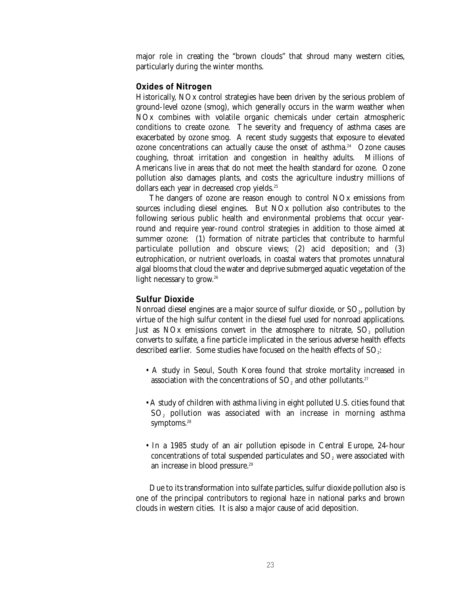major role in creating the "brown clouds" that shroud many western cities, particularly during the winter months.

### **Oxides of Nitrogen**

Historically, NOx control strategies have been driven by the serious problem of ground-level ozone (smog), which generally occurs in the warm weather when NOx combines with volatile organic chemicals under certain atmospheric conditions to create ozone. The severity and frequency of asthma cases are exacerbated by ozone smog. A recent study suggests that exposure to elevated ozone concentrations can actually cause the onset of asthma.<sup>24</sup> Ozone causes coughing, throat irritation and congestion in healthy adults. Millions of Americans live in areas that do not meet the health standard for ozone. Ozone pollution also damages plants, and costs the agriculture industry millions of dollars each year in decreased crop yields.<sup>25</sup>

The dangers of ozone are reason enough to control NOx emissions from sources including diesel engines. But NOx pollution also contributes to the following serious public health and environmental problems that occur yearround and require year-round control strategies in addition to those aimed at summer ozone: (1) formation of nitrate particles that contribute to harmful particulate pollution and obscure views; (2) acid deposition; and (3) eutrophication, or nutrient overloads, in coastal waters that promotes unnatural algal blooms that cloud the water and deprive submerged aquatic vegetation of the light necessary to grow.<sup>26</sup>

### **Sulfur Dioxide**

Nonroad diesel engines are a major source of sulfur dioxide, or  $SO<sub>2</sub>$ , pollution by virtue of the high sulfur content in the diesel fuel used for nonroad applications. Just as  $NOx$  emissions convert in the atmosphere to nitrate,  $SO<sub>2</sub>$  pollution converts to sulfate, a fine particle implicated in the serious adverse health effects described earlier. Some studies have focused on the health effects of  $SO_2$ :

- A study in Seoul, South Korea found that stroke mortality increased in association with the concentrations of  $SO<sub>2</sub>$  and other pollutants.<sup>27</sup>
- A study of children with asthma living in eight polluted U.S. cities found that SO<sub>2</sub> pollution was associated with an increase in morning asthma symptoms.<sup>28</sup>
- In a 1985 study of an air pollution episode in Central Europe, 24-hour concentrations of total suspended particulates and  $SO<sub>2</sub>$  were associated with an increase in blood pressure.<sup>29</sup>

Due to its transformation into sulfate particles, sulfur dioxide pollution also is one of the principal contributors to regional haze in national parks and brown clouds in western cities. It is also a major cause of acid deposition.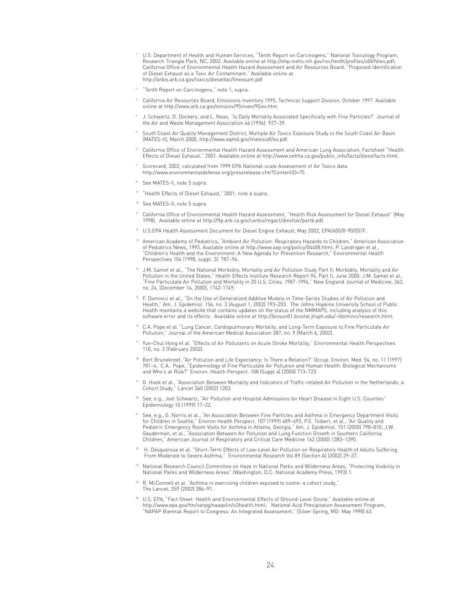- <sup>1</sup> U.S. Department of Health and Human Services, "Tenth Report on Carcinogens," National Toxicology Program, Research Triangle Park, NC, 2002. Available online at http://ehp.niehs.nih.gov/roc/tenth/profiles/s069dies.pdf; California Office of Environmental Health Hazard Assessment and Air Resources Board, "Proposed Identification of Diesel Exhaust as a Toxic Air Contaminant." Available online at http://arbis.arb.ca.gov/toxics/dieseltac/finexsum.pdf
- <sup>2</sup> "Tenth Report on Carcinogens," note 1, supra.
- $^\mathrm{3}$  California Air Resources Board, Emissions Inventory 1995, Technical Support Division, October 1997. Available online at http://www.arb.ca.gov/emisinv/95inven/95inv.htm.
- <sup>4</sup> J. Schwartz, D. Dockery, and L. Neas, "Is Daily Mortality Associated Specifically with Fine Particles?" Journal of the Air and Waste Management Association 46 (1996): 927–39.
- <sup>5</sup> South Coast Air Quality Management District, Multiple Air Toxics Exposure Study in the South Coast Air Basin (MATES-II), March 2000, http://www.aqmd.gov/matesiidf/es.pdf.
- <sup>6</sup> California Office of Environmental Health Hazard Assessment and American Lung Association, Factsheet "Health Effects of Diesel Exhaust," 2001. Available online at http://www.oehha.ca.gov/public\_info/facts/dieselfacts.html.
- Scorecard, 2002, calculated from 1999 EPA National-scale Assessment of Air Toxics data. http://www.environmentaldefense.org/pressrelease.cfm?ContentID=75
- <sup>8</sup> See MATES-II, note 5 supra.
- <sup>9</sup> "Health Effects of Diesel Exhaust," 2001, note 6 supra.
- <sup>10</sup> See MATES-II, note 5 supra.
- <sup>11</sup> California Office of Environmental Health Hazard Assessment, "Health Risk Assessment for Diesel Exhaust" (May 1998). Available online at http://ftp.arb.ca.gov/carbis/regact/diesltac/partb.pdf.
- <sup>12</sup> U.S.EPA Health Assessment Document for Diesel Engine Exhaust, May 2002, EPA/600/8-90/057F.
- <sup>13</sup> American Academy of Pediatrics, "Ambient Air Pollution: Respiratory Hazards to Children," American Association of Pediatrics News, 1993. Available online at http://www.aap.org/policy/04408.html; P. Landrigan et al., "Children's Health and the Environment: A New Agenda for Prevention Research," Environmental Health Perspectives 106 (1998, suppl. 3): 787–94.
- <sup>14</sup> J.M. Samet et al., "The National Morbidity, Mortality and Air Pollution Study Part II: Morbidity, Mortality and Air Pollution in the United States," Health Effects Institute Research Report 94, Part II, June 2000; J.M. Samet et al., "Fine Particulate Air Pollution and Mortality in 20 U.S. Cities, 1987-1994," New England Journal of Medicine, 343, no. 24, (December 14, 2000), 1742-1749.
- <sup>15</sup> F. Dominici et al., "On the Use of Generalized Additive Models in Time-Series Studies of Air Pollution and Health," Am. J. Epidemiol. 156, no. 3 (August 1, 2002) 193–203. The Johns Hopkins University School of Public Health maintains a website that contains updates on the status of the NMMAPS, including analysis of this software error and its effects: Available online at http://biosun01.biostat.jhsph.edu/~fdominic/research.html.
- <sup>16</sup> C.A. Pope et al. "Lung Cancer, Cardiopulmonary Mortality, and Long-Term Exposure to Fine Particulate Air Pollution," Journal of the American Medical Association 287, no. 9 (March 6, 2002).
- <sup>17</sup> Yun-Chul Hong et al. "Effects of Air Pollutants on Acute Stroke Mortality," Environmental Health Perspectives 110, no. 2 (February 2002).
- <sup>18</sup> Bert Brunekreef, "Air Pollution and Life Expectancy: Is There a Relation?" Occup. Environ. Med. 54, no. 11 (1997) 781–4; C.A.. Pope, "Epidemiology of Fine Particulate Air Pollution and Human Health: Biological Mechanisms and Who's at Risk?" Environ. Health Perspect. 108 (Suppl 4) (2000) 713–723.
- <sup>19</sup> G. Hoek et al., "Association Between Mortality and Indicators of Traffic-related Air Pollution in the Netherlands: a Cohort Study," Lancet 360 (2002) 1203.
- <sup>20</sup> See, e.g., Joel Schwartz, "Air Pollution and Hospital Admissions for Heart Disease in Eight U.S. Counties" Epidemiology 10 (1999) 17–22.
- $^{21}$  See, e.g., G. Norris et al., "An Association Between Fine Particles and Asthma in Emergency Department Visits for Children in Seattle," Environ Health Perspect. 107 (1999) 489–493; P.E. Tolbert, et al., "Air Quality and Pediatric Emergency Room Visits for Asthma in Atlanta, Georgia," Am. J. Epidemiol. 151 (2000) 798–810; J.W. Gauderman, et al., "Association Between Air Pollution and Lung Function Growth in Southern California Children," American Journal of Respiratory and Critical Care Medicine 162 (2000) 1383–1390.
- <sup>22</sup> H. Desqueroux et al. "Short-Term Effects of Low-Level Air Pollution on Respiratory Health of Adults Suffering From Moderate to Severe Asthma," Environmental Research Vol 89 (Section A) (2002) 29–37.
- <sup>23</sup> National Research Council Committee on Haze in National Parks and Wilderness Areas, "Protecting Visibility in National Parks and Wilderness Areas" (Washington, D.C: National Academy Press, 1993) 1.
- R. McConnell et al. "Asthma in exercising children exposed to ozone: a cohort study," The Lancet, 359 (2002) 386–91.
- <sup>25</sup> U.S. EPA, "Fact Sheet: Health and Environmental Effects of Ground-Level Ozone." Available online at http://www.epa.gov/ttn/oarpg/naaqsfin/o3health.html; National Acid Precipitation Assessment Program, "NAPAP Biennial Report to Congress: An Integrated Assessment," (Silver Spring, MD: May 1998) 63.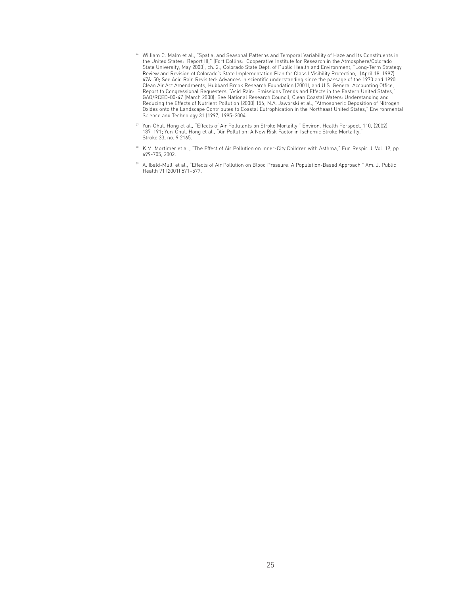- <sup>26</sup> William C. Malm et al., "Spatial and Seasonal Patterns and Temporal Variability of Haze and Its Constituents in the United States: Report III," (Fort Collins: Cooperative Institute for Research in the Atmosphere/Colorado State University, May 2000), ch. 2.; Colorado State Dept. of Public Health and Environment, "Long-Term Strategy Review and Revision of Colorado's State Implementation Plan for Class I Visibility Protection," (April 18, 1997) 47& 50; See Acid Rain Revisited: Advances in scientific understanding since the passage of the 1970 and 1990 Clean Air Act Amendments, Hubbard Brook Research Foundation (2001), and U.S. General Accounting Office, Report to Congressional Requesters, "Acid Rain: Emissions Trends and Effects in the Eastern United States," GAO/RCED-00-47 (March 2000); See National Research Council, Clean Coastal Waters: Understanding and Reducing the Effects of Nutrient Pollution (2000) 156; N.A. Jaworski et al., "Atmospheric Deposition of Nitrogen Oxides onto the Landscape Contributes to Coastal Eutrophication in the Northeast United States," Environmental Science and Technology 31 (1997) 1995–2004.
- <sup>27</sup> Yun-Chul. Hong et al., "Effects of Air Pollutants on Stroke Mortailty," Environ. Health Perspect. 110, (2002) 187–191; Yun-Chul. Hong et al., "Air Pollution: A New Risk Factor in Ischemic Stroke Mortailty," Stroke 33, no. 9 2165.
- 28 K.M. Mortimer et al., "The Effect of Air Pollution on Inner-City Children with Asthma," Eur. Respir. J. Vol. 19, pp. 699-705, 2002.
- <sup>29</sup> A. Ibald-Mulli et al., "Effects of Air Pollution on Blood Pressure: A Population-Based Approach," Am. J. Public Health 91 (2001) 571–577.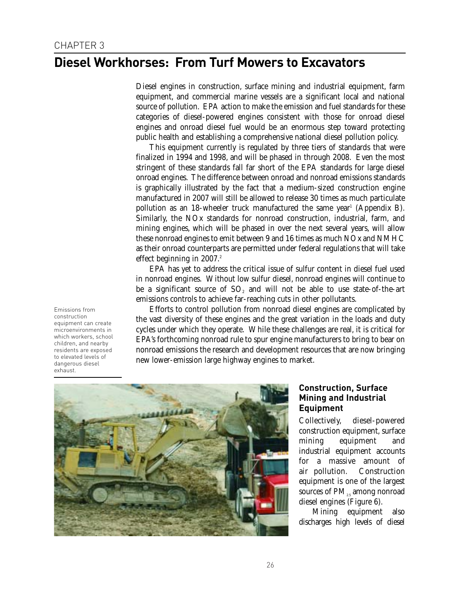### **Diesel Workhorses: From Turf Mowers to Excavators**

Diesel engines in construction, surface mining and industrial equipment, farm equipment, and commercial marine vessels are a significant local and national source of pollution. EPA action to make the emission and fuel standards for these categories of diesel-powered engines consistent with those for onroad diesel engines and onroad diesel fuel would be an enormous step toward protecting public health and establishing a comprehensive national diesel pollution policy.

This equipment currently is regulated by three tiers of standards that were finalized in 1994 and 1998, and will be phased in through 2008. Even the most stringent of these standards fall far short of the EPA standards for large diesel onroad engines. The difference between onroad and nonroad emissions standards is graphically illustrated by the fact that a medium-sized construction engine manufactured in 2007 will still be allowed to release 30 times as much particulate pollution as an 18-wheeler truck manufactured the same year<sup>1</sup> (Appendix B). Similarly, the NOx standards for nonroad construction, industrial, farm, and mining engines, which will be phased in over the next several years, will allow these nonroad engines to emit between 9 and 16 times as much NOx and NMHC as their onroad counterparts are permitted under federal regulations that will take effect beginning in  $2007$ .<sup>2</sup>

EPA has yet to address the critical issue of sulfur content in diesel fuel used in nonroad engines. Without low sulfur diesel, nonroad engines will continue to be a significant source of  $SO<sub>2</sub>$  and will not be able to use state-of-the-art emissions controls to achieve far-reaching cuts in other pollutants.

Efforts to control pollution from nonroad diesel engines are complicated by the vast diversity of these engines and the great variation in the loads and duty cycles under which they operate. While these challenges are real, it is critical for EPA's forthcoming nonroad rule to spur engine manufacturers to bring to bear on nonroad emissions the research and development resources that are now bringing new lower-emission large highway engines to market.



### **Construction, Surface Mining and Industrial Equipment**

Collectively, diesel-powered construction equipment, surface mining equipment and industrial equipment accounts for a massive amount of air pollution. Construction equipment is one of the largest sources of PM<sub>25</sub> among nonroad diesel engines (Figure 6).

Mining equipment also discharges high levels of diesel

Emissions from construction equipment can create microenvironments in which workers, school children, and nearby residents are exposed to elevated levels of dangerous diesel exhaust.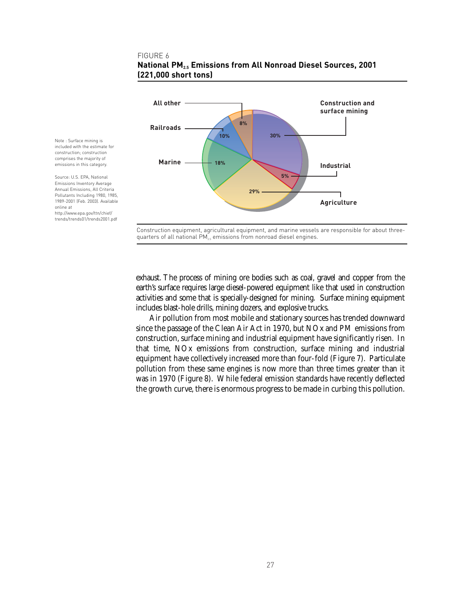#### FIGURE 6



### **National PM2.5 Emissions from All Nonroad Diesel Sources, 2001 (221,000 short tons)**

Construction equipment, agricultural equipment, and marine vessels are responsible for about threequarters of all national  $PM_{2.5}$  emissions from nonroad diesel engines.

exhaust. The process of mining ore bodies such as coal, gravel and copper from the earth's surface requires large diesel-powered equipment like that used in construction activities and some that is specially-designed for mining. Surface mining equipment includes blast-hole drills, mining dozers, and explosive trucks.

Air pollution from most mobile and stationary sources has trended downward since the passage of the Clean Air Act in 1970, but NOx and PM emissions from construction, surface mining and industrial equipment have significantly risen. In that time, NOx emissions from construction, surface mining and industrial equipment have collectively increased more than four-fold (Figure 7). Particulate pollution from these same engines is now more than three times greater than it was in 1970 (Figure 8). While federal emission standards have recently deflected the growth curve, there is enormous progress to be made in curbing this pollution.

Note : Surface mining is included with the estimate for construction; construction comprises the majority of emissions in this category.

Source: U.S. EPA, National Emissions Inventory Average Annual Emissions, All Criteria Pollutants Including 1980, 1985, 1989-2001 (Feb. 2003). Available online at http://www.epa.gov/ttn/chief/ trends/trends01/trends2001.pdf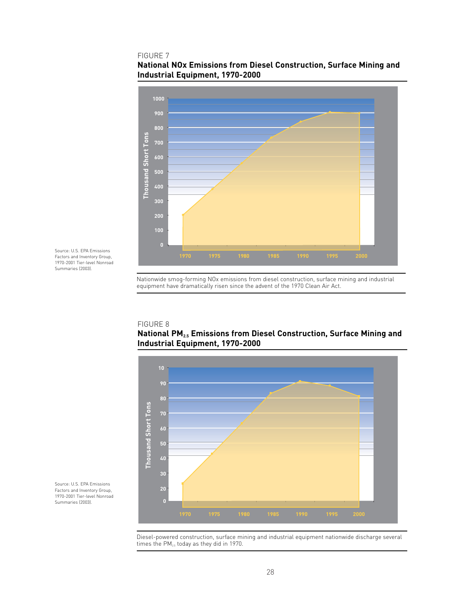#### FIGURE 7



### **National NOx Emissions from Diesel Construction, Surface Mining and Industrial Equipment, 1970-2000**

Source: U.S. EPA Emissions Factors and Inventory Group, 1970-2001 Tier-level Nonroad Summaries (2003).

## FIGURE 8

### **National PM2.5 Emissions from Diesel Construction, Surface Mining and Industrial Equipment, 1970-2000**

Nationwide smog-forming NOx emissions from diesel construction, surface mining and industrial

equipment have dramatically risen since the advent of the 1970 Clean Air Act.



Source: U.S. EPA Emissions Factors and Inventory Group, 1970-2001 Tier-level Nonroad Summaries (2003).

> Diesel-powered construction, surface mining and industrial equipment nationwide discharge several times the  $PM_{2.5}$  today as they did in 1970.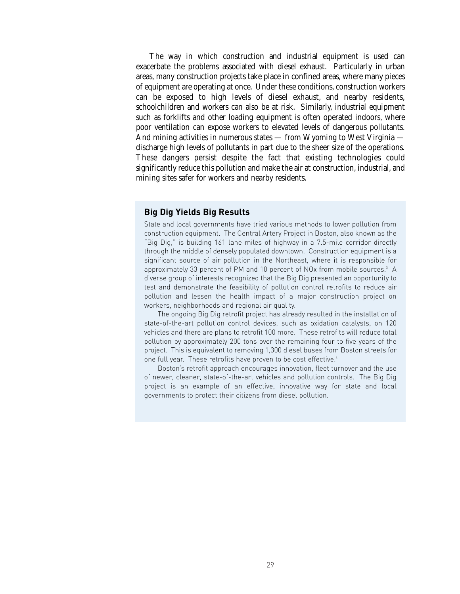The way in which construction and industrial equipment is used can exacerbate the problems associated with diesel exhaust. Particularly in urban areas, many construction projects take place in confined areas, where many pieces of equipment are operating at once. Under these conditions, construction workers can be exposed to high levels of diesel exhaust, and nearby residents, schoolchildren and workers can also be at risk. Similarly, industrial equipment such as forklifts and other loading equipment is often operated indoors, where poor ventilation can expose workers to elevated levels of dangerous pollutants. And mining activities in numerous states — from Wyoming to West Virginia discharge high levels of pollutants in part due to the sheer size of the operations. These dangers persist despite the fact that existing technologies could significantly reduce this pollution and make the air at construction, industrial, and mining sites safer for workers and nearby residents.

### **Big Dig Yields Big Results**

State and local governments have tried various methods to lower pollution from construction equipment. The Central Artery Project in Boston, also known as the "Big Dig," is building 161 lane miles of highway in a 7.5-mile corridor directly through the middle of densely populated downtown. Construction equipment is a significant source of air pollution in the Northeast, where it is responsible for approximately 33 percent of PM and 10 percent of NOx from mobile sources.<sup>3</sup> A diverse group of interests recognized that the Big Dig presented an opportunity to test and demonstrate the feasibility of pollution control retrofits to reduce air pollution and lessen the health impact of a major construction project on workers, neighborhoods and regional air quality.

The ongoing Big Dig retrofit project has already resulted in the installation of state-of-the-art pollution control devices, such as oxidation catalysts, on 120 vehicles and there are plans to retrofit 100 more. These retrofits will reduce total pollution by approximately 200 tons over the remaining four to five years of the project. This is equivalent to removing 1,300 diesel buses from Boston streets for one full year. These retrofits have proven to be cost effective.<sup>4</sup>

Boston's retrofit approach encourages innovation, fleet turnover and the use of newer, cleaner, state-of-the-art vehicles and pollution controls. The Big Dig project is an example of an effective, innovative way for state and local governments to protect their citizens from diesel pollution.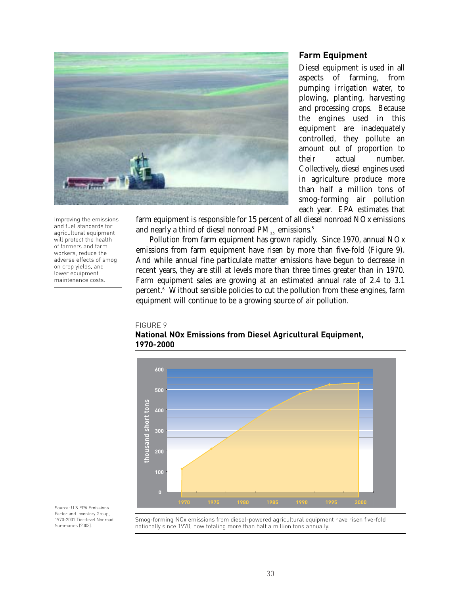

#### **Farm Equipment**

Diesel equipment is used in all aspects of farming, from pumping irrigation water, to plowing, planting, harvesting and processing crops. Because the engines used in this equipment are inadequately controlled, they pollute an amount out of proportion to their actual number. Collectively, diesel engines used in agriculture produce more than half a million tons of smog-forming air pollution each year. EPA estimates that

farm equipment is responsible for 15 percent of all diesel nonroad NOx emissions and nearly a third of diesel nonroad  $PM_{15}$  emissions.<sup>5</sup>

Pollution from farm equipment has grown rapidly. Since 1970, annual NOx emissions from farm equipment have risen by more than five-fold (Figure 9). And while annual fine particulate matter emissions have begun to decrease in recent years, they are still at levels more than three times greater than in 1970. Farm equipment sales are growing at an estimated annual rate of 2.4 to 3.1 percent.6 Without sensible policies to cut the pollution from these engines, farm equipment will continue to be a growing source of air pollution.

#### FIGURE 9



**National NOx Emissions from Diesel Agricultural Equipment, 1970-2000**

Source: U.S EPA Emissions Factor and Inventory Group, 1970-2001 Tier-level Nonroad Summaries (2003).

Smog-forming NOx emissions from diesel-powered agricultural equipment have risen five-fold nationally since 1970, now totaling more than half a million tons annually.

Improving the emissions and fuel standards for agricultural equipment will protect the health of farmers and farm workers, reduce the adverse effects of smog on crop yields, and lower equipment maintenance costs.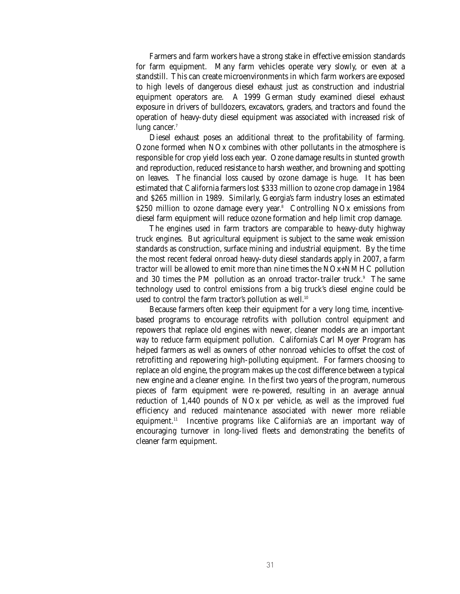Farmers and farm workers have a strong stake in effective emission standards for farm equipment. Many farm vehicles operate very slowly, or even at a standstill. This can create microenvironments in which farm workers are exposed to high levels of dangerous diesel exhaust just as construction and industrial equipment operators are. A 1999 German study examined diesel exhaust exposure in drivers of bulldozers, excavators, graders, and tractors and found the operation of heavy-duty diesel equipment was associated with increased risk of lung cancer.<sup>7</sup>

Diesel exhaust poses an additional threat to the profitability of farming. Ozone formed when NOx combines with other pollutants in the atmosphere is responsible for crop yield loss each year. Ozone damage results in stunted growth and reproduction, reduced resistance to harsh weather, and browning and spotting on leaves. The financial loss caused by ozone damage is huge. It has been estimated that California farmers lost \$333 million to ozone crop damage in 1984 and \$265 million in 1989. Similarly, Georgia's farm industry loses an estimated \$250 million to ozone damage every year. $8$  Controlling NOx emissions from diesel farm equipment will reduce ozone formation and help limit crop damage.

The engines used in farm tractors are comparable to heavy-duty highway truck engines. But agricultural equipment is subject to the same weak emission standards as construction, surface mining and industrial equipment. By the time the most recent federal onroad heavy-duty diesel standards apply in 2007, a farm tractor will be allowed to emit more than nine times the NOx+NMHC pollution and 30 times the PM pollution as an onroad tractor-trailer truck.<sup>9</sup> The same technology used to control emissions from a big truck's diesel engine could be used to control the farm tractor's pollution as well.<sup>10</sup>

Because farmers often keep their equipment for a very long time, incentivebased programs to encourage retrofits with pollution control equipment and repowers that replace old engines with newer, cleaner models are an important way to reduce farm equipment pollution. California's Carl Moyer Program has helped farmers as well as owners of other nonroad vehicles to offset the cost of retrofitting and repowering high-polluting equipment. For farmers choosing to replace an old engine, the program makes up the cost difference between a typical new engine and a cleaner engine. In the first two years of the program, numerous pieces of farm equipment were re-powered, resulting in an average annual reduction of 1,440 pounds of NOx per vehicle, as well as the improved fuel efficiency and reduced maintenance associated with newer more reliable equipment.11 Incentive programs like California's are an important way of encouraging turnover in long-lived fleets and demonstrating the benefits of cleaner farm equipment.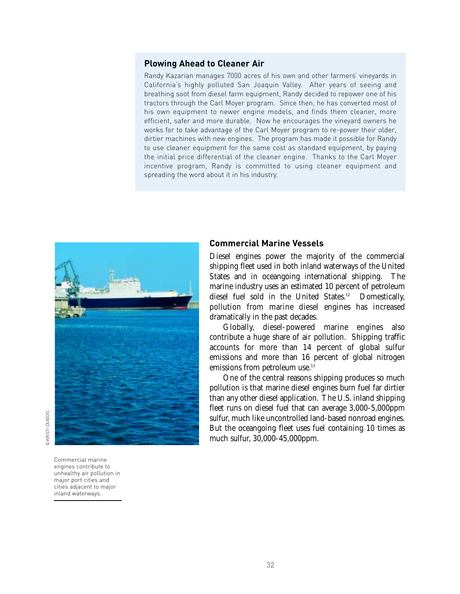### **Plowing Ahead to Cleaner Air**

Randy Kazarian manages 7000 acres of his own and other farmers' vineyards in California's highly polluted San Joaquin Valley. After years of seeing and breathing soot from diesel farm equipment, Randy decided to repower one of his tractors through the Carl Moyer program. Since then, he has converted most of his own equipment to newer engine models, and finds them cleaner, more efficient, safer and more durable. Now he encourages the vineyard owners he works for to take advantage of the Carl Moyer program to re-power their older, dirtier machines with new engines. The program has made it possible for Randy to use cleaner equipment for the same cost as standard equipment, by paying the initial price differential of the cleaner engine. Thanks to the Carl Moyer incentive program, Randy is committed to using cleaner equipment and spreading the word about it in his industry.



Commercial marine engines contribute to unhealthy air pollution in major port cities and cities adjacent to major inland waterways.

### **Commercial Marine Vessels**

Diesel engines power the majority of the commercial shipping fleet used in both inland waterways of the United States and in oceangoing international shipping. The marine industry uses an estimated 10 percent of petroleum diesel fuel sold in the United States.<sup>12</sup> Domestically, pollution from marine diesel engines has increased dramatically in the past decades.

Globally, diesel-powered marine engines also contribute a huge share of air pollution. Shipping traffic accounts for more than 14 percent of global sulfur emissions and more than 16 percent of global nitrogen emissions from petroleum use.<sup>13</sup>

One of the central reasons shipping produces so much pollution is that marine diesel engines burn fuel far dirtier than any other diesel application. The U.S. inland shipping fleet runs on diesel fuel that can average 3,000-5,000ppm sulfur, much like uncontrolled land-based nonroad engines. But the oceangoing fleet uses fuel containing 10 times as much sulfur, 30,000-45,000ppm.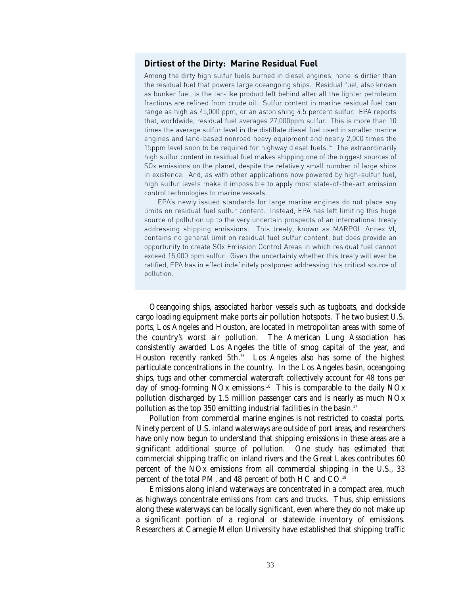#### **Dirtiest of the Dirty: Marine Residual Fuel**

Among the dirty high sulfur fuels burned in diesel engines, none is dirtier than the residual fuel that powers large oceangoing ships. Residual fuel, also known as bunker fuel, is the tar-like product left behind after all the lighter petroleum fractions are refined from crude oil. Sulfur content in marine residual fuel can range as high as 45,000 ppm, or an astonishing 4.5 percent sulfur. EPA reports that, worldwide, residual fuel averages 27,000ppm sulfur. This is more than 10 times the average sulfur level in the distillate diesel fuel used in smaller marine engines and land-based nonroad heavy equipment and nearly 2,000 times the 15ppm level soon to be required for highway diesel fuels.<sup>14</sup> The extraordinarily high sulfur content in residual fuel makes shipping one of the biggest sources of SOx emissions on the planet, despite the relatively small number of large ships in existence. And, as with other applications now powered by high-sulfur fuel, high sulfur levels make it impossible to apply most state-of-the-art emission control technologies to marine vessels.

EPA's newly issued standards for large marine engines do not place any limits on residual fuel sulfur content. Instead, EPA has left limiting this huge source of pollution up to the very uncertain prospects of an international treaty addressing shipping emissions. This treaty, known as MARPOL Annex VI, contains no general limit on residual fuel sulfur content, but does provide an opportunity to create SOx Emission Control Areas in which residual fuel cannot exceed 15,000 ppm sulfur. Given the uncertainty whether this treaty will ever be ratified, EPA has in effect indefinitely postponed addressing this critical source of pollution.

Oceangoing ships, associated harbor vessels such as tugboats, and dockside cargo loading equipment make ports air pollution hotspots. The two busiest U.S. ports, Los Angeles and Houston, are located in metropolitan areas with some of the country's worst air pollution. The American Lung Association has consistently awarded Los Angeles the title of smog capital of the year, and Houston recently ranked 5th.<sup>15</sup> Los Angeles also has some of the highest particulate concentrations in the country. In the Los Angeles basin, oceangoing ships, tugs and other commercial watercraft collectively account for 48 tons per day of smog-forming NOx emissions.16 This is comparable to the daily NOx pollution discharged by 1.5 million passenger cars and is nearly as much NOx pollution as the top 350 emitting industrial facilities in the basin.<sup>17</sup>

Pollution from commercial marine engines is not restricted to coastal ports. Ninety percent of U.S. inland waterways are outside of port areas, and researchers have only now begun to understand that shipping emissions in these areas are a significant additional source of pollution. One study has estimated that commercial shipping traffic on inland rivers and the Great Lakes contributes 60 percent of the NOx emissions from all commercial shipping in the U.S., 33 percent of the total PM, and 48 percent of both HC and CO.18

Emissions along inland waterways are concentrated in a compact area, much as highways concentrate emissions from cars and trucks. Thus, ship emissions along these waterways can be locally significant, even where they do not make up a significant portion of a regional or statewide inventory of emissions. Researchers at Carnegie Mellon University have established that shipping traffic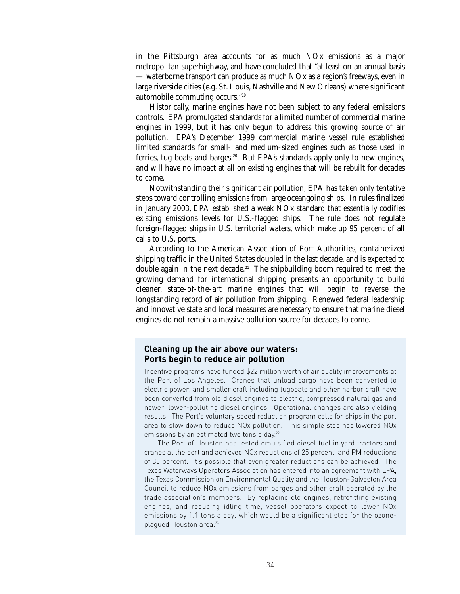in the Pittsburgh area accounts for as much NOx emissions as a major metropolitan superhighway, and have concluded that "at least on an annual basis — waterborne transport can produce as much NOx as a region's freeways, even in large riverside cities (e.g. St. Louis, Nashville and New Orleans) where significant automobile commuting occurs."19

Historically, marine engines have not been subject to any federal emissions controls. EPA promulgated standards for a limited number of commercial marine engines in 1999, but it has only begun to address this growing source of air pollution. EPA's December 1999 commercial marine vessel rule established limited standards for small- and medium-sized engines such as those used in ferries, tug boats and barges.<sup>20</sup> But EPA's standards apply only to new engines, and will have no impact at all on existing engines that will be rebuilt for decades to come.

Notwithstanding their significant air pollution, EPA has taken only tentative steps toward controlling emissions from large oceangoing ships. In rules finalized in January 2003, EPA established a weak NOx standard that essentially codifies existing emissions levels for U.S.-flagged ships. The rule does not regulate foreign-flagged ships in U.S. territorial waters, which make up 95 percent of all calls to U.S. ports.

According to the American Association of Port Authorities, containerized shipping traffic in the United States doubled in the last decade, and is expected to double again in the next decade.<sup>21</sup> The shipbuilding boom required to meet the growing demand for international shipping presents an opportunity to build cleaner, state-of-the-art marine engines that will begin to reverse the longstanding record of air pollution from shipping. Renewed federal leadership and innovative state and local measures are necessary to ensure that marine diesel engines do not remain a massive pollution source for decades to come.

### **Cleaning up the air above our waters: Ports begin to reduce air pollution**

Incentive programs have funded \$22 million worth of air quality improvements at the Port of Los Angeles. Cranes that unload cargo have been converted to electric power, and smaller craft including tugboats and other harbor craft have been converted from old diesel engines to electric, compressed natural gas and newer, lower-polluting diesel engines. Operational changes are also yielding results. The Port's voluntary speed reduction program calls for ships in the port area to slow down to reduce NOx pollution. This simple step has lowered NOx emissions by an estimated two tons a day.<sup>22</sup>

The Port of Houston has tested emulsified diesel fuel in yard tractors and cranes at the port and achieved NOx reductions of 25 percent, and PM reductions of 30 percent. It's possible that even greater reductions can be achieved. The Texas Waterways Operators Association has entered into an agreement with EPA, the Texas Commission on Environmental Quality and the Houston-Galveston Area Council to reduce NOx emissions from barges and other craft operated by the trade association's members. By replacing old engines, retrofitting existing engines, and reducing idling time, vessel operators expect to lower NOx emissions by 1.1 tons a day, which would be a significant step for the ozoneplagued Houston area.<sup>23</sup>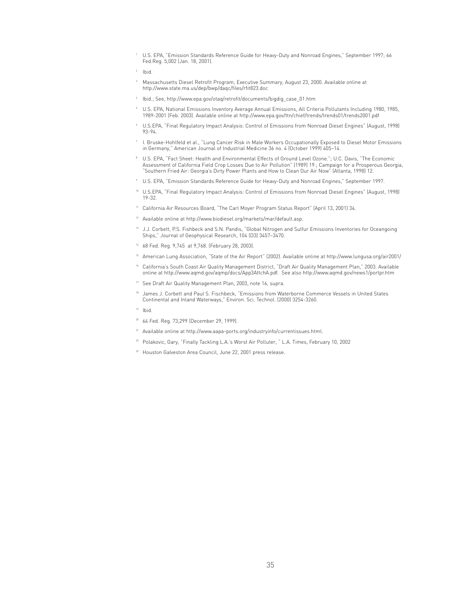<sup>1</sup> U.S. EPA, "Emission Standards Reference Guide for Heavy-Duty and Nonroad Engines," September 1997; 66 Fed.Reg. 5,002 (Jan. 18, 2001).

- $2$  Ibid.
- $^{\circ}$  Massachusetts Diesel Retrofit Program, Executive Summary, August 23, 2000. Available online at http://www.state.ma.us/dep/bwp/daqc/files/rfit823.doc
- <sup>4</sup> Ibid.; See, http://www.epa.gov/otaq/retrofit/documents/bigdig\_case\_01.htm
- $^{\circ}$  U.S. EPA, National Emissions Inventory Average Annual Emissions, All Criteria Pollutants Including 1980, 1985, 1989-2001 (Feb. 2003). Available online at http://www.epa.gov/ttn/chief/trends/trends01/trends2001.pdf
- <sup>6</sup> U.S.EPA, "Final Regulatory Impact Analysis: Control of Emissions from Nonroad Diesel Engines" (August, 1998) 93-94.
- <sup>7</sup> I. Bruske-Hohlfeld et al., "Lung Cancer Risk in Male Workers Occupationally Exposed to Diesel Motor Emissions in Germany," American Journal of Industrial Medicine 36 no. 4 (October 1999) 405–14.
- <sup>8</sup> U.S. EPA, "Fact Sheet: Health and Environmental Effects of Ground Level Ozone."; U.C. Davis, "The Economic Assessment of California Field Crop Losses Due to Air Pollution" (1989) 19.; Campaign for a Prosperous Georgia, "Southern Fried Air: Georgia's Dirty Power Plants and How to Clean Our Air Now" (Atlanta, 1998) 12.
- <sup>9</sup> U.S. EPA, "Emission Standards Reference Guide for Heavy-Duty and Nonroad Engines," September 1997.
- <sup>10</sup> U.S.EPA, "Final Regulatory Impact Analysis: Control of Emissions from Nonroad Diesel Engines" (August, 1998) 19-32.
- <sup>11</sup> California Air Resources Board, "The Carl Moyer Program Status Report" (April 13, 2001) 34.
- <sup>12</sup> Available online at http://www.biodiesel.org/markets/mar/default.asp.
- <sup>13</sup> J.J. Corbett, P.S. Fishbeck and S.N. Pandis, "Global Nitrogen and Sulfur Emissions Inventories for Oceangoing Ships," Journal of Geophysical Research, 104 (D3) 3457–3470.
- <sup>14</sup> 68 Fed. Reg. 9,745 at 9,768. (February 28, 2003).
- <sup>15</sup> American Lung Association, "State of the Air Report" (2002). Available online at http://www.lungusa.org/air2001/
- <sup>16</sup> California's South Coast Air Quality Management District, "Draft Air Quality Management Plan," 2003. Available online at http://www.aqmd.gov/aqmp/docs/App3AttchA.pdf. See also http://www.aqmd.gov/news1/portpr.htm
- <sup>17</sup> See Draft Air Quality Management Plan, 2003, note 16, supra.
- <sup>18</sup> James J. Corbett and Paul S. Fischbeck, "Emissions from Waterborne Commerce Vessels in United States Continental and Inland Waterways," Environ. Sci. Technol. (2000) 3254-3260.
- $19$  Ibid.
- <sup>20</sup> 64 Fed. Reg. 73,299 (December 29, 1999).
- <sup>21</sup> Available online at http://www.aapa-ports.org/industryinfo/currentissues.html.
- <sup>22</sup> Polakovic, Gary, "Finally Tackling L.A.'s Worst Air Polluter, "L.A. Times, February 10, 2002
- <sup>23</sup> Houston Galveston Area Council, June 22, 2001 press release.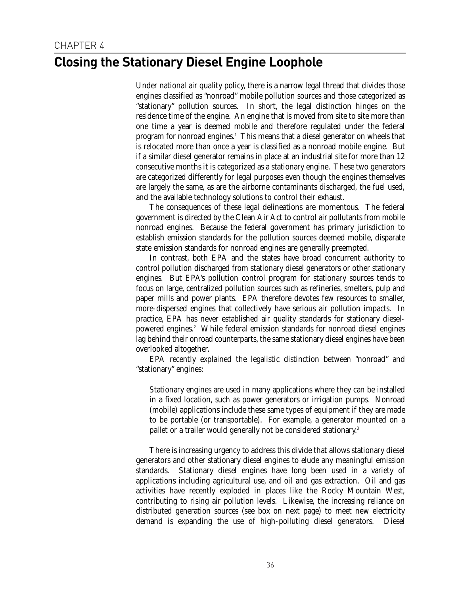### **Closing the Stationary Diesel Engine Loophole**

Under national air quality policy, there is a narrow legal thread that divides those engines classified as "nonroad" mobile pollution sources and those categorized as "stationary" pollution sources. In short, the legal distinction hinges on the residence time of the engine. An engine that is moved from site to site more than one time a year is deemed mobile and therefore regulated under the federal program for nonroad engines.<sup>1</sup> This means that a diesel generator on wheels that is relocated more than once a year is classified as a nonroad mobile engine. But if a similar diesel generator remains in place at an industrial site for more than 12 consecutive months it is categorized as a stationary engine. These two generators are categorized differently for legal purposes even though the engines themselves are largely the same, as are the airborne contaminants discharged, the fuel used, and the available technology solutions to control their exhaust.

The consequences of these legal delineations are momentous. The federal government is directed by the Clean Air Act to control air pollutants from mobile nonroad engines. Because the federal government has primary jurisdiction to establish emission standards for the pollution sources deemed mobile, disparate state emission standards for nonroad engines are generally preempted.

In contrast, both EPA and the states have broad concurrent authority to control pollution discharged from stationary diesel generators or other stationary engines. But EPA's pollution control program for stationary sources tends to focus on large, centralized pollution sources such as refineries, smelters, pulp and paper mills and power plants. EPA therefore devotes few resources to smaller, more-dispersed engines that collectively have serious air pollution impacts. In practice, EPA has never established air quality standards for stationary dieselpowered engines.<sup>2</sup> While federal emission standards for nonroad diesel engines lag behind their onroad counterparts, the same stationary diesel engines have been overlooked altogether.

EPA recently explained the legalistic distinction between "nonroad" and "stationary" engines:

Stationary engines are used in many applications where they can be installed in a fixed location, such as power generators or irrigation pumps. Nonroad (mobile) applications include these same types of equipment if they are made to be portable (or transportable). For example, a generator mounted on a pallet or a trailer would generally not be considered stationary.3

There is increasing urgency to address this divide that allows stationary diesel generators and other stationary diesel engines to elude any meaningful emission standards. Stationary diesel engines have long been used in a variety of applications including agricultural use, and oil and gas extraction. Oil and gas activities have recently exploded in places like the Rocky Mountain West, contributing to rising air pollution levels. Likewise, the increasing reliance on distributed generation sources (see box on next page) to meet new electricity demand is expanding the use of high-polluting diesel generators. Diesel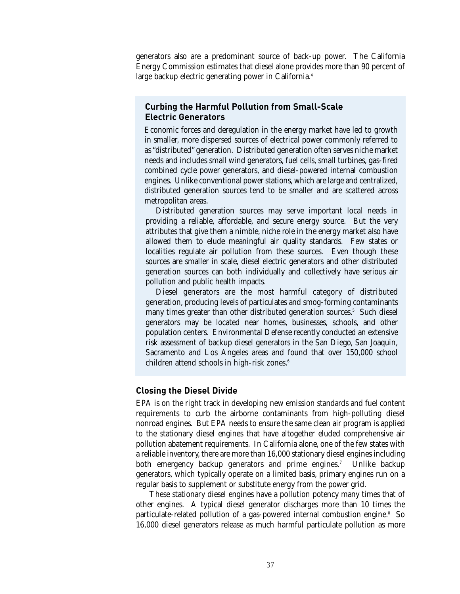generators also are a predominant source of back-up power. The California Energy Commission estimates that diesel alone provides more than 90 percent of large backup electric generating power in California.<sup>4</sup>

### **Curbing the Harmful Pollution from Small-Scale Electric Generators**

Economic forces and deregulation in the energy market have led to growth in smaller, more dispersed sources of electrical power commonly referred to as "distributed" generation. Distributed generation often serves niche market needs and includes small wind generators, fuel cells, small turbines, gas-fired combined cycle power generators, and diesel-powered internal combustion engines. Unlike conventional power stations, which are large and centralized, distributed generation sources tend to be smaller and are scattered across metropolitan areas.

Distributed generation sources may serve important local needs in providing a reliable, affordable, and secure energy source. But the very attributes that give them a nimble, niche role in the energy market also have allowed them to elude meaningful air quality standards. Few states or localities regulate air pollution from these sources. Even though these sources are smaller in scale, diesel electric generators and other distributed generation sources can both individually and collectively have serious air pollution and public health impacts.

Diesel generators are the most harmful category of distributed generation, producing levels of particulates and smog-forming contaminants many times greater than other distributed generation sources.<sup>5</sup> Such diesel generators may be located near homes, businesses, schools, and other population centers. Environmental Defense recently conducted an extensive risk assessment of backup diesel generators in the San Diego, San Joaquin, Sacramento and Los Angeles areas and found that over 150,000 school children attend schools in high-risk zones.<sup>6</sup>

#### **Closing the Diesel Divide**

EPA is on the right track in developing new emission standards and fuel content requirements to curb the airborne contaminants from high-polluting diesel nonroad engines. But EPA needs to ensure the same clean air program is applied to the stationary diesel engines that have altogether eluded comprehensive air pollution abatement requirements. In California alone, one of the few states with a reliable inventory, there are more than 16,000 stationary diesel engines including both emergency backup generators and prime engines.<sup>7</sup> Unlike backup generators, which typically operate on a limited basis, primary engines run on a regular basis to supplement or substitute energy from the power grid.

These stationary diesel engines have a pollution potency many times that of other engines. A typical diesel generator discharges more than 10 times the particulate-related pollution of a gas-powered internal combustion engine.<sup>8</sup> So 16,000 diesel generators release as much harmful particulate pollution as more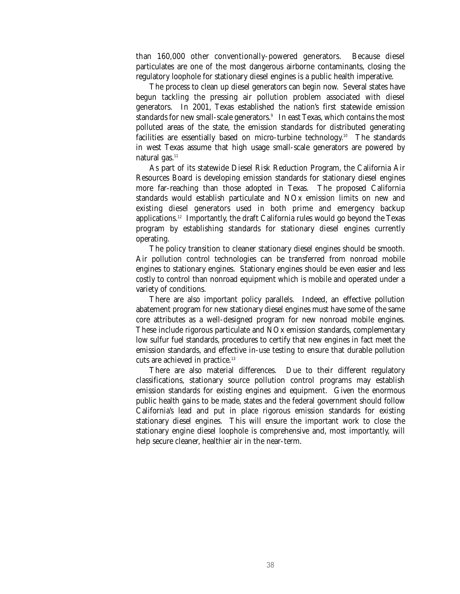than 160,000 other conventionally-powered generators. Because diesel particulates are one of the most dangerous airborne contaminants, closing the regulatory loophole for stationary diesel engines is a public health imperative.

The process to clean up diesel generators can begin now. Several states have begun tackling the pressing air pollution problem associated with diesel generators. In 2001, Texas established the nation's first statewide emission standards for new small-scale generators.9 In east Texas, which contains the most polluted areas of the state, the emission standards for distributed generating facilities are essentially based on micro-turbine technology.10 The standards in west Texas assume that high usage small-scale generators are powered by natural gas. $11$ 

As part of its statewide Diesel Risk Reduction Program, the California Air Resources Board is developing emission standards for stationary diesel engines more far-reaching than those adopted in Texas. The proposed California standards would establish particulate and NOx emission limits on new and existing diesel generators used in both prime and emergency backup applications.12 Importantly, the draft California rules would go beyond the Texas program by establishing standards for stationary diesel engines currently operating.

The policy transition to cleaner stationary diesel engines should be smooth. Air pollution control technologies can be transferred from nonroad mobile engines to stationary engines. Stationary engines should be even easier and less costly to control than nonroad equipment which is mobile and operated under a variety of conditions.

There are also important policy parallels. Indeed, an effective pollution abatement program for new stationary diesel engines must have some of the same core attributes as a well-designed program for new nonroad mobile engines. These include rigorous particulate and NOx emission standards, complementary low sulfur fuel standards, procedures to certify that new engines in fact meet the emission standards, and effective in-use testing to ensure that durable pollution cuts are achieved in practice.<sup>13</sup>

There are also material differences. Due to their different regulatory classifications, stationary source pollution control programs may establish emission standards for existing engines and equipment. Given the enormous public health gains to be made, states and the federal government should follow California's lead and put in place rigorous emission standards for existing stationary diesel engines. This will ensure the important work to close the stationary engine diesel loophole is comprehensive and, most importantly, will help secure cleaner, healthier air in the near-term.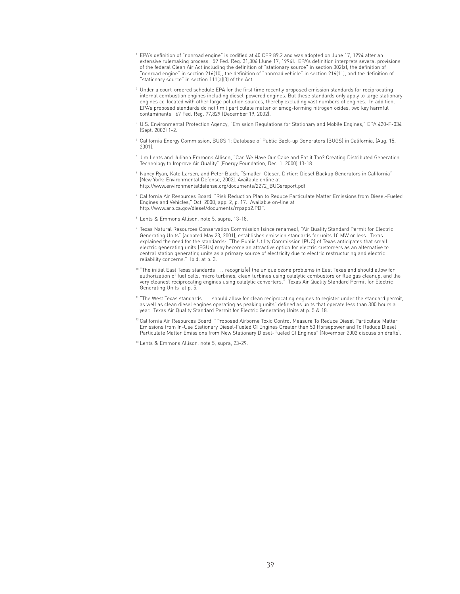- <sup>1</sup> EPA's definition of "nonroad engine" is codified at 40 CFR 89.2 and was adopted on June 17, 1994 after an extensive rulemaking process. 59 Fed. Reg. 31,306 (June 17, 1994). EPA's definition interprets several provisions of the federal Clean Air Act including the definition of "stationary source" in section 302(z), the definition of "nonroad engine" in section 216(10), the definition of "nonroad vehicle" in section 216(11), and the definition of "stationary source" in section 111(a)(3) of the Act.
- $^2$  Under a court-ordered schedule EPA for the first time recently proposed emission standards for reciprocating internal combustion engines including diesel-powered engines. But these standards only apply to large stationary engines co-located with other large pollution sources, thereby excluding vast numbers of engines. In addition, EPA's proposed standards do not limit particulate matter or smog-forming nitrogen oxides, two key harmful contaminants. 67 Fed. Reg. 77,829 (December 19, 2002).
- <sup>3</sup> U.S. Environmental Protection Agency, "Emission Regulations for Stationary and Mobile Engines," EPA 420-F-034 (Sept. 2002) 1-2.
- <sup>4</sup> California Energy Commission, BUGS 1: Database of Public Back-up Generators (BUGS) in California, (Aug. 15, 2001).
- <sup>5</sup> Jim Lents and Juliann Emmons Allison, "Can We Have Our Cake and Eat it Too? Creating Distributed Generation Technology to Improve Air Quality" (Energy Foundation, Dec. 1, 2000) 13-18.
- <sup>6</sup> Nancy Ryan, Kate Larsen, and Peter Black, "Smaller, Closer, Dirtier: Diesel Backup Generators in California" (New York: Environmental Defense, 2002). Available online at http://www.environmentaldefense.org/documents/2272\_BUGsreport.pdf
- <sup>7</sup> California Air Resources Board, "Risk Reduction Plan to Reduce Particulate Matter Emissions from Diesel-Fueled Engines and Vehicles," Oct. 2000, app. 2, p. 17. Available on-line at http://www.arb.ca.gov/diesel/documents/rrpapp2.PDF.
- <sup>8</sup> Lents & Emmons Allison, note 5, supra, 13-18.
- <sup>9</sup> Texas Natural Resources Conservation Commission (since renamed), "Air Quality Standard Permit for Electric Generating Units" (adopted May 23, 2001), establishes emission standards for units 10 MW or less. Texas explained the need for the standards: "The Public Utility Commission (PUC) of Texas anticipates that small electric generating units (EGUs) may become an attractive option for electric customers as an alternative to central station generating units as a primary source of electricity due to electric restructuring and electric reliability concerns." Ibid. at p. 3.
- <sup>10</sup> "The initial East Texas standards . . . recogniz[e] the unique ozone problems in East Texas and should allow for authorization of fuel cells, micro turbines, clean turbines using catalytic combustors or flue gas cleanup, and the very cleanest reciprocating engines using catalytic converters." Texas Air Quality Standard Permit for Electric Generating Units at p. 5.
- $^{\rm 11}$  "The West Texas standards  $\ldots$  should allow for clean reciprocating engines to register under the standard permit, as well as clean diesel engines operating as peaking units" defined as units that operate less than 300 hours a year. Texas Air Quality Standard Permit for Electric Generating Units at p. 5 & 18.
- <sup>12</sup> California Air Resources Board, "Proposed Airborne Toxic Control Measure To Reduce Diesel Particulate Matter Emissions from In-Use Stationary Diesel-Fueled CI Engines Greater than 50 Horsepower and To Reduce Diesel Particulate Matter Emissions from New Stationary Diesel-Fueled CI Engines" (November 2002 discussion drafts).
- <sup>13</sup> Lents & Emmons Allison, note 5, supra, 23-29.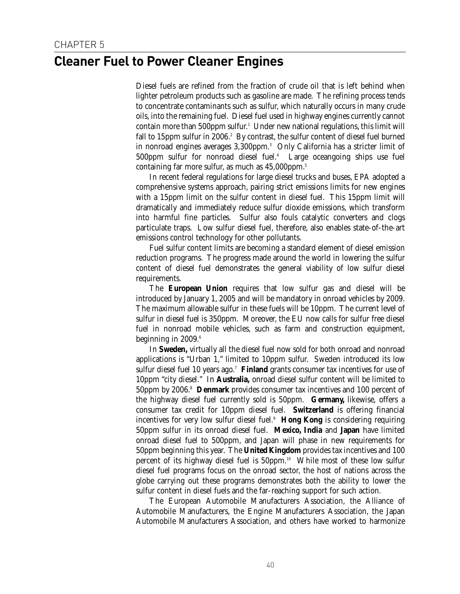### **Cleaner Fuel to Power Cleaner Engines**

Diesel fuels are refined from the fraction of crude oil that is left behind when lighter petroleum products such as gasoline are made. The refining process tends to concentrate contaminants such as sulfur, which naturally occurs in many crude oils, into the remaining fuel. Diesel fuel used in highway engines currently cannot contain more than 500ppm sulfur.<sup>1</sup> Under new national regulations, this limit will fall to 15ppm sulfur in 2006.<sup>2</sup> By contrast, the sulfur content of diesel fuel burned in nonroad engines averages 3,300ppm.3 Only California has a stricter limit of 500ppm sulfur for nonroad diesel fuel.<sup>4</sup> Large oceangoing ships use fuel containing far more sulfur, as much as 45,000ppm.<sup>5</sup>

In recent federal regulations for large diesel trucks and buses, EPA adopted a comprehensive systems approach, pairing strict emissions limits for new engines with a 15ppm limit on the sulfur content in diesel fuel. This 15ppm limit will dramatically and immediately reduce sulfur dioxide emissions, which transform into harmful fine particles. Sulfur also fouls catalytic converters and clogs particulate traps. Low sulfur diesel fuel, therefore, also enables state-of-the-art emissions control technology for other pollutants.

Fuel sulfur content limits are becoming a standard element of diesel emission reduction programs. The progress made around the world in lowering the sulfur content of diesel fuel demonstrates the general viability of low sulfur diesel requirements.

The **European Union** requires that low sulfur gas and diesel will be introduced by January 1, 2005 and will be mandatory in onroad vehicles by 2009. The maximum allowable sulfur in these fuels will be 10ppm. The current level of sulfur in diesel fuel is 350ppm. Moreover, the EU now calls for sulfur free diesel fuel in nonroad mobile vehicles, such as farm and construction equipment, beginning in  $2009.^{\circ}$ 

In **Sweden,** virtually all the diesel fuel now sold for both onroad and nonroad applications is "Urban 1," limited to 10ppm sulfur. Sweden introduced its low sulfur diesel fuel 10 years ago.<sup>7</sup> Finland grants consumer tax incentives for use of 10ppm "city diesel." In **Australia,** onroad diesel sulfur content will be limited to 50ppm by 2006.8 **Denmark** provides consumer tax incentives and 100 percent of the highway diesel fuel currently sold is 50ppm. **Germany,** likewise, offers a consumer tax credit for 10ppm diesel fuel. **Switzerland** is offering financial incentives for very low sulfur diesel fuel.<sup>9</sup> Hong Kong is considering requiring 50ppm sulfur in its onroad diesel fuel. **Mexico, India** and **Japan** have limited onroad diesel fuel to 500ppm, and Japan will phase in new requirements for 50ppm beginning this year. The **United Kingdom** provides tax incentives and 100 percent of its highway diesel fuel is 50ppm.<sup>10</sup> While most of these low sulfur diesel fuel programs focus on the onroad sector, the host of nations across the globe carrying out these programs demonstrates both the ability to lower the sulfur content in diesel fuels and the far-reaching support for such action.

The European Automobile Manufacturers Association, the Alliance of Automobile Manufacturers, the Engine Manufacturers Association, the Japan Automobile Manufacturers Association, and others have worked to harmonize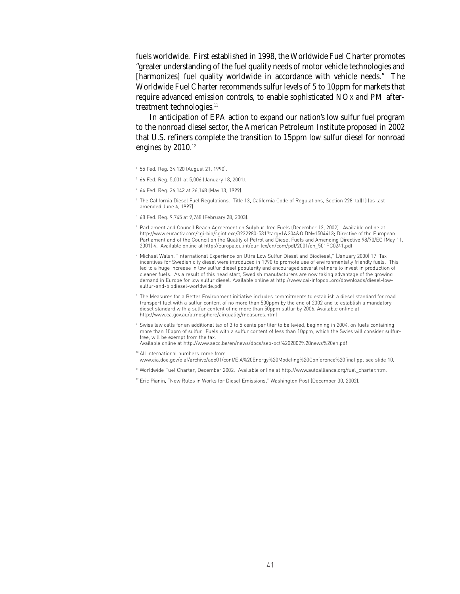fuels worldwide. First established in 1998, the Worldwide Fuel Charter promotes "greater understanding of the fuel quality needs of motor vehicle technologies and [harmonizes] fuel quality worldwide in accordance with vehicle needs." The Worldwide Fuel Charter recommends sulfur levels of 5 to 10ppm for markets that require advanced emission controls, to enable sophisticated NOx and PM aftertreatment technologies.<sup>11</sup>

In anticipation of EPA action to expand our nation's low sulfur fuel program to the nonroad diesel sector, the American Petroleum Institute proposed in 2002 that U.S. refiners complete the transition to 15ppm low sulfur diesel for nonroad engines by  $2010.^{12}$ 

- <sup>1</sup> 55 Fed. Reg. 34,120 (August 21, 1990).
- <sup>2</sup> 66 Fed. Reg. 5,001 at 5,006 (January 18, 2001).
- <sup>3</sup> 64 Fed. Reg. 26,142 at 26,148 (May 13, 1999).
- <sup>4</sup> The California Diesel Fuel Regulations. Title 13, California Code of Regulations, Section 2281(a)(1) (as last amended June 4, 1997).
- <sup>5</sup> 68 Fed. Reg. 9,745 at 9,768 (February 28, 2003).
- <sup>6</sup> Parliament and Council Reach Agreement on Sulphur-free Fuels (December 12, 2002). Available online at http://www.euractiv.com/cgi-bin/cgint.exe/3232980-531?targ=1&204&OIDN=1504413; Directive of the European Parliament and of the Council on the Quality of Petrol and Diesel Fuels and Amending Directive 98/70/EC (May 11, 2001) 4. Available online at http://europa.eu.int/eur-lex/en/com/pdf/2001/en\_501PC0241.pdf
- <sup>7</sup> Michael Walsh, "International Experience on Ultra Low Sulfur Diesel and Biodiesel," (January 2000) 17. Tax incentives for Swedish city diesel were introduced in 1990 to promote use of environmentally friendly fuels. This led to a huge increase in low sulfur diesel popularity and encouraged several refiners to invest in production of cleaner fuels. As a result of this head start, Swedish manufacturers are now taking advantage of the growing demand in Europe for low sulfur diesel. Available online at http://www.cai-infopool.org/downloads/diesel-lowsulfur-and-biodiesel-worldwide.pdf
- <sup>8</sup> The Measures for a Better Environment initiative includes commitments to establish a diesel standard for road transport fuel with a sulfur content of no more than 500ppm by the end of 2002 and to establish a mandatory diesel standard with a sulfur content of no more than 50ppm sulfur by 2006. Available online at http://www.ea.gov.au/atmosphere/airquality/measures.html
- <sup>9</sup> Swiss law calls for an additional tax of 3 to 5 cents per liter to be levied, beginning in 2004, on fuels containing more than 10ppm of sulfur. Fuels with a sulfur content of less than 10ppm, which the Swiss will consider sulfurfree, will be exempt from the tax. Available online at http://www.aecc.be/en/news/docs/sep-oct%202002%20news%20en.pdf
- 
- <sup>10</sup> All international numbers come from www.eia.doe.gov/oiaf/archive/aeo01/conf/EIA%20Energy%20Modeling%20Conference%20final.ppt see slide 10.
- <sup>11</sup> Worldwide Fuel Charter, December 2002. Available online at http://www.autoalliance.org/fuel\_charter.htm.
- <sup>12</sup> Eric Pianin, "New Rules in Works for Diesel Emissions," Washington Post (December 30, 2002).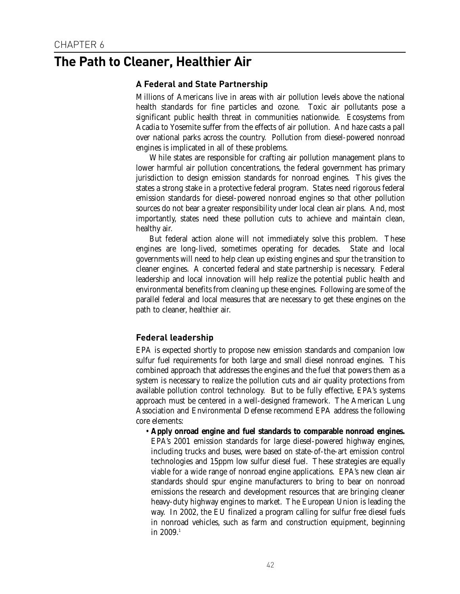### **The Path to Cleaner, Healthier Air**

### **A Federal and State Partnership**

Millions of Americans live in areas with air pollution levels above the national health standards for fine particles and ozone. Toxic air pollutants pose a significant public health threat in communities nationwide. Ecosystems from Acadia to Yosemite suffer from the effects of air pollution. And haze casts a pall over national parks across the country. Pollution from diesel-powered nonroad engines is implicated in all of these problems.

While states are responsible for crafting air pollution management plans to lower harmful air pollution concentrations, the federal government has primary jurisdiction to design emission standards for nonroad engines. This gives the states a strong stake in a protective federal program. States need rigorous federal emission standards for diesel-powered nonroad engines so that other pollution sources do not bear a greater responsibility under local clean air plans. And, most importantly, states need these pollution cuts to achieve and maintain clean, healthy air.

But federal action alone will not immediately solve this problem. These engines are long-lived, sometimes operating for decades. State and local governments will need to help clean up existing engines and spur the transition to cleaner engines. A concerted federal and state partnership is necessary. Federal leadership and local innovation will help realize the potential public health and environmental benefits from cleaning up these engines. Following are some of the parallel federal and local measures that are necessary to get these engines on the path to cleaner, healthier air.

### **Federal leadership**

EPA is expected shortly to propose new emission standards and companion low sulfur fuel requirements for both large and small diesel nonroad engines. This combined approach that addresses the engines and the fuel that powers them as a system is necessary to realize the pollution cuts and air quality protections from available pollution control technology. But to be fully effective, EPA's systems approach must be centered in a well-designed framework. The American Lung Association and Environmental Defense recommend EPA address the following core elements:

• **Apply onroad engine and fuel standards to comparable nonroad engines.** EPA's 2001 emission standards for large diesel-powered highway engines, including trucks and buses, were based on state-of-the-art emission control technologies and 15ppm low sulfur diesel fuel. These strategies are equally viable for a wide range of nonroad engine applications. EPA's new clean air standards should spur engine manufacturers to bring to bear on nonroad emissions the research and development resources that are bringing cleaner heavy-duty highway engines to market. The European Union is leading the way. In 2002, the EU finalized a program calling for sulfur free diesel fuels in nonroad vehicles, such as farm and construction equipment, beginning in 2009.1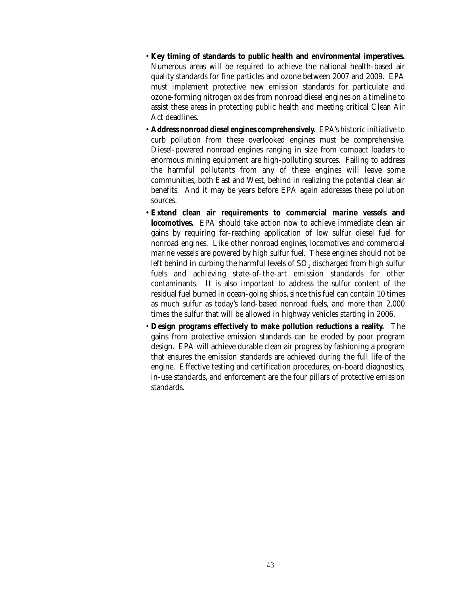- **Key timing of standards to public health and environmental imperatives.** Numerous areas will be required to achieve the national health-based air quality standards for fine particles and ozone between 2007 and 2009. EPA must implement protective new emission standards for particulate and ozone-forming nitrogen oxides from nonroad diesel engines on a timeline to assist these areas in protecting public health and meeting critical Clean Air Act deadlines.
- **Address nonroad diesel engines comprehensively.** EPA's historic initiative to curb pollution from these overlooked engines must be comprehensive. Diesel-powered nonroad engines ranging in size from compact loaders to enormous mining equipment are high-polluting sources. Failing to address the harmful pollutants from any of these engines will leave some communities, both East and West, behind in realizing the potential clean air benefits. And it may be years before EPA again addresses these pollution sources.
- **Extend clean air requirements to commercial marine vessels and locomotives.** EPA should take action now to achieve immediate clean air gains by requiring far-reaching application of low sulfur diesel fuel for nonroad engines. Like other nonroad engines, locomotives and commercial marine vessels are powered by high sulfur fuel. These engines should not be left behind in curbing the harmful levels of  $SO<sub>2</sub>$  discharged from high sulfur fuels and achieving state-of-the-art emission standards for other contaminants. It is also important to address the sulfur content of the residual fuel burned in ocean-going ships, since this fuel can contain 10 times as much sulfur as today's land-based nonroad fuels, and more than 2,000 times the sulfur that will be allowed in highway vehicles starting in 2006.
- **Design programs effectively to make pollution reductions a reality.** The gains from protective emission standards can be eroded by poor program design. EPA will achieve durable clean air progress by fashioning a program that ensures the emission standards are achieved during the full life of the engine. Effective testing and certification procedures, on-board diagnostics, in-use standards, and enforcement are the four pillars of protective emission standards.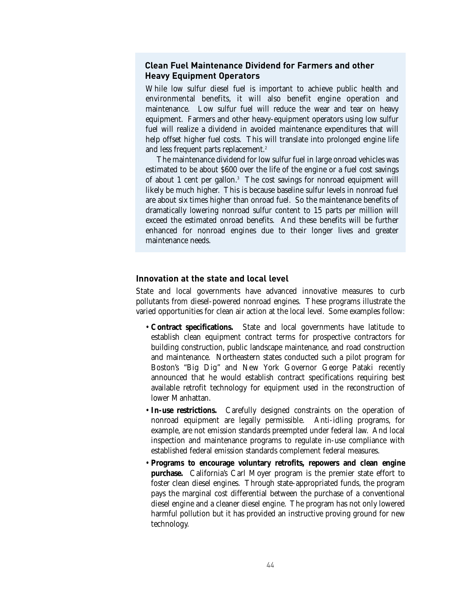### **Clean Fuel Maintenance Dividend for Farmers and other Heavy Equipment Operators**

While low sulfur diesel fuel is important to achieve public health and environmental benefits, it will also benefit engine operation and maintenance. Low sulfur fuel will reduce the wear and tear on heavy equipment. Farmers and other heavy-equipment operators using low sulfur fuel will realize a dividend in avoided maintenance expenditures that will help offset higher fuel costs. This will translate into prolonged engine life and less frequent parts replacement.<sup>2</sup>

The maintenance dividend for low sulfur fuel in large onroad vehicles was estimated to be about \$600 over the life of the engine or a fuel cost savings of about 1 cent per gallon.<sup>3</sup> The cost savings for nonroad equipment will likely be much higher. This is because baseline sulfur levels in nonroad fuel are about six times higher than onroad fuel. So the maintenance benefits of dramatically lowering nonroad sulfur content to 15 parts per million will exceed the estimated onroad benefits. And these benefits will be further enhanced for nonroad engines due to their longer lives and greater maintenance needs.

#### **Innovation at the state and local level**

State and local governments have advanced innovative measures to curb pollutants from diesel-powered nonroad engines. These programs illustrate the varied opportunities for clean air action at the local level. Some examples follow:

- **Contract specifications.** State and local governments have latitude to establish clean equipment contract terms for prospective contractors for building construction, public landscape maintenance, and road construction and maintenance. Northeastern states conducted such a pilot program for Boston's "Big Dig" and New York Governor George Pataki recently announced that he would establish contract specifications requiring best available retrofit technology for equipment used in the reconstruction of lower Manhattan.
- **In-use restrictions.** Carefully designed constraints on the operation of nonroad equipment are legally permissible. Anti-idling programs, for example, are not emission standards preempted under federal law. And local inspection and maintenance programs to regulate in-use compliance with established federal emission standards complement federal measures.
- **Programs to encourage voluntary retrofits, repowers and clean engine purchase.** California's Carl Moyer program is the premier state effort to foster clean diesel engines. Through state-appropriated funds, the program pays the marginal cost differential between the purchase of a conventional diesel engine and a cleaner diesel engine. The program has not only lowered harmful pollution but it has provided an instructive proving ground for new technology.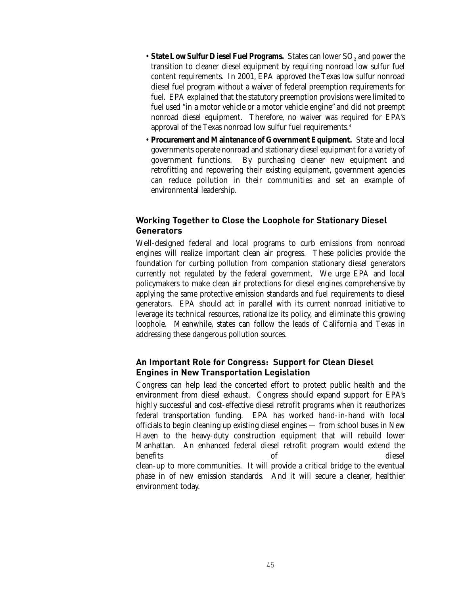- State Low Sulfur Diesel Fuel Programs. States can lower SO<sub>2</sub> and power the transition to cleaner diesel equipment by requiring nonroad low sulfur fuel content requirements. In 2001, EPA approved the Texas low sulfur nonroad diesel fuel program without a waiver of federal preemption requirements for fuel. EPA explained that the statutory preemption provisions were limited to fuel used "in a motor vehicle or a motor vehicle engine" and did not preempt nonroad diesel equipment. Therefore, no waiver was required for EPA's approval of the Texas nonroad low sulfur fuel requirements.4
- **Procurement and Maintenance of Government Equipment.** State and local governments operate nonroad and stationary diesel equipment for a variety of government functions. By purchasing cleaner new equipment and retrofitting and repowering their existing equipment, government agencies can reduce pollution in their communities and set an example of environmental leadership.

### **Working Together to Close the Loophole for Stationary Diesel Generators**

Well-designed federal and local programs to curb emissions from nonroad engines will realize important clean air progress. These policies provide the foundation for curbing pollution from companion stationary diesel generators currently not regulated by the federal government. We urge EPA and local policymakers to make clean air protections for diesel engines comprehensive by applying the same protective emission standards and fuel requirements to diesel generators. EPA should act in parallel with its current nonroad initiative to leverage its technical resources, rationalize its policy, and eliminate this growing loophole. Meanwhile, states can follow the leads of California and Texas in addressing these dangerous pollution sources.

### **An Important Role for Congress: Support for Clean Diesel Engines in New Transportation Legislation**

Congress can help lead the concerted effort to protect public health and the environment from diesel exhaust. Congress should expand support for EPA's highly successful and cost-effective diesel retrofit programs when it reauthorizes federal transportation funding. EPA has worked hand-in-hand with local officials to begin cleaning up existing diesel engines — from school buses in New Haven to the heavy-duty construction equipment that will rebuild lower Manhattan. An enhanced federal diesel retrofit program would extend the benefits of diesel clean-up to more communities. It will provide a critical bridge to the eventual phase in of new emission standards. And it will secure a cleaner, healthier environment today.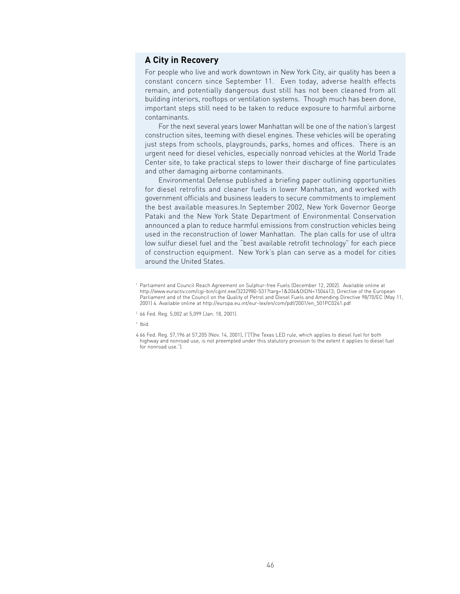### **A City in Recovery**

For people who live and work downtown in New York City, air quality has been a constant concern since September 11. Even today, adverse health effects remain, and potentially dangerous dust still has not been cleaned from all building interiors, rooftops or ventilation systems. Though much has been done, important steps still need to be taken to reduce exposure to harmful airborne contaminants.

For the next several years lower Manhattan will be one of the nation's largest construction sites, teeming with diesel engines. These vehicles will be operating just steps from schools, playgrounds, parks, homes and offices. There is an urgent need for diesel vehicles, especially nonroad vehicles at the World Trade Center site, to take practical steps to lower their discharge of fine particulates and other damaging airborne contaminants.

Environmental Defense published a briefing paper outlining opportunities for diesel retrofits and cleaner fuels in lower Manhattan, and worked with government officials and business leaders to secure commitments to implement the best available measures.In September 2002, New York Governor George Pataki and the New York State Department of Environmental Conservation announced a plan to reduce harmful emissions from construction vehicles being used in the reconstruction of lower Manhattan. The plan calls for use of ultra low sulfur diesel fuel and the "best available retrofit technology" for each piece of construction equipment. New York's plan can serve as a model for cities around the United States.

Parliament and Council Reach Agreement on Sulphur-free Fuels (December 12, 2002). Available online at http://www.euractiv.com/cgi-bin/cgint.exe/3232980-531?targ=1&204&OIDN=1504413; Directive of the European Parliament and of the Council on the Quality of Petrol and Diesel Fuels and Amending Directive 98/70/EC (May 11, 2001) 4. Available online at http://europa.eu.int/eur-lex/en/com/pdf/2001/en\_501PC0241.pdf

<sup>2</sup> 66 Fed. Reg. 5,002 at 5,099 (Jan. 18, 2001).

<sup>3</sup> Ibid.

<sup>4</sup> 66 Fed. Reg. 57,196 at 57,205 (Nov. 14, 2001), ("[T]he Texas LED rule, which applies to diesel fuel for both highway and nonroad use, is not preempted under this statutory provision to the extent it applies to diesel fuel for nonroad use.").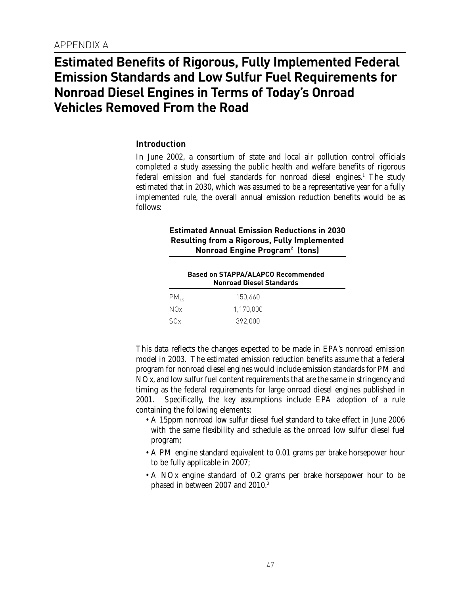### **Estimated Benefits of Rigorous, Fully Implemented Federal Emission Standards and Low Sulfur Fuel Requirements for Nonroad Diesel Engines in Terms of Today's Onroad Vehicles Removed From the Road**

### **Introduction**

In June 2002, a consortium of state and local air pollution control officials completed a study assessing the public health and welfare benefits of rigorous federal emission and fuel standards for nonroad diesel engines.<sup>1</sup> The study estimated that in 2030, which was assumed to be a representative year for a fully implemented rule, the overall annual emission reduction benefits would be as follows:

### **Estimated Annual Emission Reductions in 2030 Resulting from a Rigorous, Fully Implemented Nonroad Engine Program2 (tons)**

|           | <b>Based on STAPPA/ALAPCO Recommended</b><br><b>Nonroad Diesel Standards</b> |  |  |
|-----------|------------------------------------------------------------------------------|--|--|
| $PM_{25}$ | 150.660                                                                      |  |  |
| NOx.      | 1.170.000                                                                    |  |  |
| SOx       | 392.000                                                                      |  |  |

This data reflects the changes expected to be made in EPA's nonroad emission model in 2003. The estimated emission reduction benefits assume that a federal program for nonroad diesel engines would include emission standards for PM and NOx, and low sulfur fuel content requirements that are the same in stringency and timing as the federal requirements for large onroad diesel engines published in 2001. Specifically, the key assumptions include EPA adoption of a rule containing the following elements:

- A 15ppm nonroad low sulfur diesel fuel standard to take effect in June 2006 with the same flexibility and schedule as the onroad low sulfur diesel fuel program;
- A PM engine standard equivalent to 0.01 grams per brake horsepower hour to be fully applicable in 2007;
- A NOx engine standard of 0.2 grams per brake horsepower hour to be phased in between 2007 and 2010.3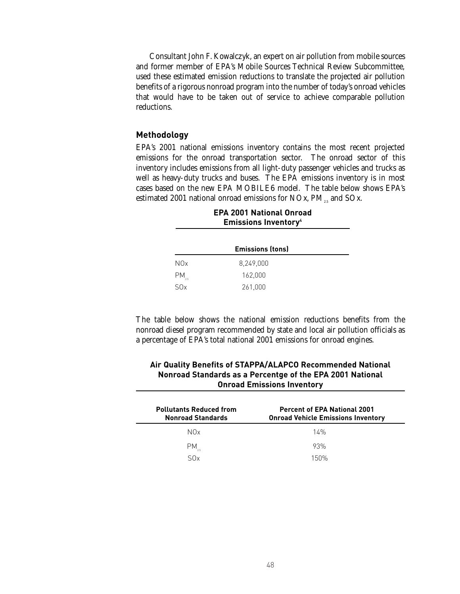Consultant John F. Kowalczyk, an expert on air pollution from mobile sources and former member of EPA's Mobile Sources Technical Review Subcommittee, used these estimated emission reductions to translate the projected air pollution benefits of a rigorous nonroad program into the number of today's onroad vehicles that would have to be taken out of service to achieve comparable pollution reductions.

#### **Methodology**

EPA's 2001 national emissions inventory contains the most recent projected emissions for the onroad transportation sector. The onroad sector of this inventory includes emissions from all light-duty passenger vehicles and trucks as well as heavy-duty trucks and buses. The EPA emissions inventory is in most cases based on the new EPA MOBILE6 model. The table below shows EPA's estimated 2001 national onroad emissions for NOx,  $PM_{25}$  and SOx.

| <b>Emissions Inventory</b> <sup>4</sup> |           |  |
|-----------------------------------------|-----------|--|
| <b>Emissions (tons)</b>                 |           |  |
| N <sub>O</sub> x                        | 8,249,000 |  |
| $PM_{\alpha}$                           | 162,000   |  |
| S(x)                                    | 261,000   |  |

## **EPA 2001 National Onroad**

The table below shows the national emission reductions benefits from the nonroad diesel program recommended by state and local air pollution officials as a percentage of EPA's total national 2001 emissions for onroad engines.

| <b>Onroad Emissions Inventory</b>                          |                                                                                  |  |  |  |
|------------------------------------------------------------|----------------------------------------------------------------------------------|--|--|--|
| <b>Pollutants Reduced from</b><br><b>Nonroad Standards</b> | <b>Percent of EPA National 2001</b><br><b>Onroad Vehicle Emissions Inventory</b> |  |  |  |
| N0x                                                        | 14%                                                                              |  |  |  |
| PM.                                                        | 93%                                                                              |  |  |  |
| S0x                                                        | 150%                                                                             |  |  |  |

### **Air Quality Benefits of STAPPA/ALAPCO Recommended National Nonroad Standards as a Percentge of the EPA 2001 National**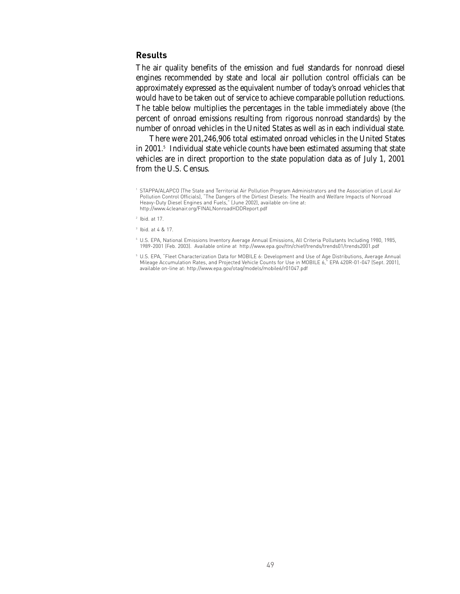### **Results**

The air quality benefits of the emission and fuel standards for nonroad diesel engines recommended by state and local air pollution control officials can be approximately expressed as the equivalent number of today's onroad vehicles that would have to be taken out of service to achieve comparable pollution reductions. The table below multiplies the percentages in the table immediately above (the percent of onroad emissions resulting from rigorous nonroad standards) by the number of onroad vehicles in the United States as well as in each individual state.

There were 201,246,906 total estimated onroad vehicles in the United States in 2001.5 Individual state vehicle counts have been estimated assuming that state vehicles are in direct proportion to the state population data as of July 1, 2001 from the U.S. Census.

<sup>4</sup> U.S. EPA, National Emissions Inventory Average Annual Emissions, All Criteria Pollutants Including 1980, 1985, 1989-2001 (Feb. 2003). Available online at http://www.epa.gov/ttn/chief/trends/trends01/trends2001.pdf

<sup>1</sup> STAPPA/ALAPCO (The State and Territorial Air Pollution Program Administrators and the Association of Local Air Pollution Control Officials), "The Dangers of the Dirtiest Diesels: The Health and Welfare Impacts of Nonroad Heavy-Duty Diesel Engines and Fuels," (June 2002), available on-line at: http://www.4cleanair.org/FINALNonroadHDDReport.pdf

 $2$  Ibid. at 17.

<sup>3</sup> Ibid. at 4 & 17.

<sup>5</sup> U.S. EPA, "Fleet Characterization Data for MOBILE 6: Development and Use of Age Distributions, Average Annual Mileage Accumulation Rates, and Projected Vehicle Counts for Use in MOBILE 6," EPA 420R-01-047 (Sept. 2001), available on-line at: http://www.epa.gov/otaq/models/mobile6/r01047.pdf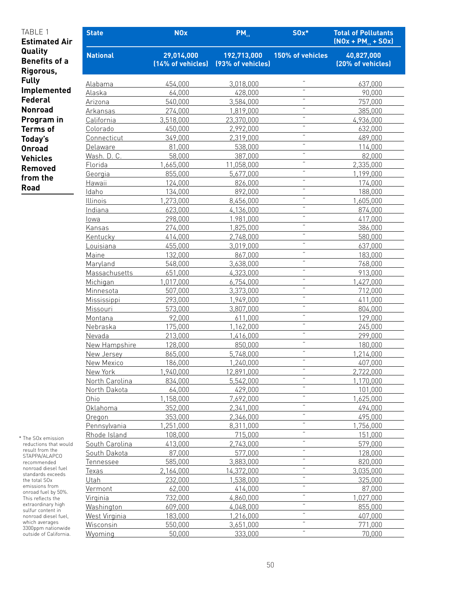| TABLE 1<br><b>Estimated Air</b>              | <b>State</b>                 | <b>NOx</b>                      | $PM_{25}$                        | $S0x*$           | <b>Total of Pollutants</b><br>$[NOx + PM_{25} + SOx]$ |
|----------------------------------------------|------------------------------|---------------------------------|----------------------------------|------------------|-------------------------------------------------------|
| Quality<br><b>Benefits of a</b><br>Rigorous, | <b>National</b>              | 29,014,000<br>(14% of vehicles) | 192,713,000<br>(93% of vehicles) | 150% of vehicles | 40,827,000<br>(20% of vehicles)                       |
| <b>Fully</b>                                 |                              |                                 |                                  | $\alpha$         |                                                       |
| Implemented                                  | Alabama                      | 454,000                         | 3,018,000                        | $\alpha$         | 637,000                                               |
| <b>Federal</b>                               | Alaska                       | 64,000                          | 428,000                          | $\pmb{\cdot}$    | 90,000                                                |
|                                              | Arizona                      | 540,000                         | 3,584,000                        | $\pmb{\cdot}$    | 757,000                                               |
| <b>Nonroad</b>                               | Arkansas                     | 274,000                         | 1,819,000                        | $\pmb{\cdot}$    | 385,000                                               |
| Program in                                   | California                   | 3,518,000                       | 23,370,000                       | $\alpha$         | 4,936,000                                             |
| <b>Terms of</b>                              | Colorado                     | 450,000                         | 2,992,000                        | $\alpha$         | 632,000                                               |
| Today's                                      | Connecticut                  | 349,000                         | 2,319,000                        | $\pmb{\cdot}$    | 489,000                                               |
| <b>Onroad</b>                                | Delaware                     | 81,000                          | 538,000                          | $\pmb{\cdot}$    | 114,000                                               |
| <b>Vehicles</b>                              | Wash. D. C.                  | 58,000                          | 387,000                          | $\pmb{\cdot}$    | 82,000                                                |
| Removed                                      | Florida                      | 1,665,000                       | 11,058,000                       | $\pmb{\cdot}$    | 2,335,000                                             |
| from the                                     | Georgia                      | 855,000                         | 5,677,000                        | $\pmb{\cdot}$    | 1,199,000                                             |
| <b>Road</b>                                  | Hawaii                       | 124,000                         | 826,000                          | $\alpha$         | 174,000                                               |
|                                              | Idaho                        | 134,000                         | 892,000                          | $\pmb{\cdot}$    | 188,000                                               |
|                                              | Illinois                     | 1,273,000                       | 8,456,000                        | $\pmb{\cdot}$    | 1,605,000                                             |
|                                              | Indiana                      | 623,000                         | 4,136,000                        | $\pmb{\cdot}$    | 874,000                                               |
|                                              | lowa                         | 298,000                         | 1.981,000                        | $\pmb{\cdot}$    | 417,000                                               |
|                                              | Kansas                       | 274,000                         | 1,825,000                        | $\pmb{\cdot}$    | 386,000                                               |
|                                              | Kentucky                     | 414,000                         | 2,748,000                        | $\alpha$         | 580,000                                               |
|                                              | Louisiana                    | 455,000                         | 3,019,000                        | $\alpha$         | 637,000                                               |
|                                              | Maine                        | 132,000                         | 867,000                          | $\pmb{\cdot}$    | 183,000                                               |
|                                              | Maryland                     | 548,000                         | 3,638,000                        | $\pmb{\cdot}$    | 768,000                                               |
|                                              | Massachusetts                | 651,000                         | 4,323,000                        | $\pmb{\cdot}$    | 913,000                                               |
|                                              | Michigan                     | 1,017,000                       | 6,754,000                        | $\pmb{\cdot}$    | 1,427,000                                             |
|                                              | Minnesota                    | 507,000                         | 3,373,000                        | $\alpha$         | 712,000                                               |
|                                              | Mississippi                  | 293,000                         | 1,949,000                        | $\alpha$         | 411,000                                               |
|                                              | Missouri                     | 573,000                         | 3,807,000                        | $\pmb{\cdot}$    | 804,000                                               |
|                                              | Montana                      | 92,000                          | 611,000                          | $\pmb{\cdot}$    | 129,000                                               |
|                                              | Nebraska                     | 175,000                         | 1,162,000                        | $\pmb{\cdot}$    | 245,000                                               |
|                                              | Nevada                       | 213,000                         | 1,416,000                        | $\pmb{\cdot}$    | 299,000                                               |
|                                              | New Hampshire                | 128,000                         | 850,000                          | $\pmb{\cdot}$    | 180,000                                               |
|                                              | New Jersey                   | 865,000                         | 5,748,000                        | $\alpha$         | 1,214,000                                             |
|                                              | New Mexico                   | 186,000                         | 1,240,000                        | $\alpha$         | 407,000                                               |
|                                              | New York                     | 1,940,000                       | 12,891,000                       | $\pmb{\cdot}$    | 2,722,000                                             |
|                                              | North Carolina               | 834,000                         | 5,542,000<br>429,000             | $\pmb{\cdot}$    | 1,170,000                                             |
|                                              | North Dakota<br>Ohio         | 64,000                          |                                  | $\pmb{\cdot}$    | 101,000                                               |
|                                              | Oklahoma                     | 1,158,000<br>352,000            | 7,692,000                        | $\pmb{\cdot}$    | 1,625,000<br>494,000                                  |
|                                              |                              | 353,000                         | 2,341,000                        | $\pmb{\cdot}$    | 495,000                                               |
|                                              | Oregon                       | 1,251,000                       | 2,346,000<br>8,311,000           | $\pmb{\cdot}$    | 1,756,000                                             |
|                                              | Pennsylvania<br>Rhode Island | 108,000                         | 715,000                          | $\pmb{\cdot}$    | 151,000                                               |
| The SOx emission                             | South Carolina               | 413,000                         | 2,743,000                        | $\pmb{\cdot}$    | 579,000                                               |
| reductions that would<br>result from the     | South Dakota                 | 87,000                          | 577,000                          | $\pmb{\cdot}$    | 128,000                                               |
| STAPPA/ALAPCO                                |                              | 585,000                         | 3,883,000                        | $\pmb{\cdot}$    | 820,000                                               |
| recommended<br>nonroad diesel fuel           | Tennessee<br>Texas           | 2,164,000                       | 14,372,000                       | $\pmb{\cdot}$    | 3,035,000                                             |
| standards exceeds                            |                              | 232,000                         | 1,538,000                        | $\pmb{\cdot}$    | 325,000                                               |
| the total SOx<br>emissions from              | Utah                         | 62,000                          | 414,000                          | $\pmb{\cdot}$    | 87,000                                                |
| onroad fuel by 50%.                          | Vermont<br>Virginia          | 732,000                         | 4,860,000                        | $\pmb{\cdot}$    | 1,027,000                                             |
| This reflects the<br>extraordinary high      |                              |                                 |                                  | $\pmb{\cdot}$    |                                                       |
| sulfur content in                            | Washington                   | 609,000                         | 4,048,000                        | $\pmb{\cdot}$    | 855,000                                               |
| nonroad diesel fuel,<br>which averages       | West Virginia                | 183,000<br>550,000              | 1,216,000                        | $\pmb{\cdot}$    | 407,000<br>771,000                                    |
| 3300ppm nationwide                           | Wisconsin                    |                                 | 3,651,000                        | $\pmb{\cdot}$    |                                                       |
| outside of California.                       | Wyoming                      | 50,000                          | 333,000                          |                  | 70,000                                                |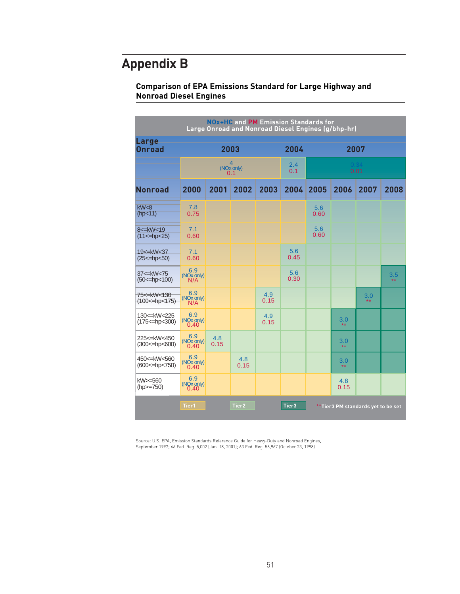### **Appendix B**

### **Comparison of EPA Emissions Standard for Large Highway and Nonroad Diesel Engines**

| <b>NOx+HC and PM Emission Standards for</b><br>Large Onroad and Nonroad Diesel Engines (g/bhp-hr) |                                       |             |                   |             |             |                                    |                  |              |                  |  |
|---------------------------------------------------------------------------------------------------|---------------------------------------|-------------|-------------------|-------------|-------------|------------------------------------|------------------|--------------|------------------|--|
| <b>Large</b><br><b>Onroad</b>                                                                     | 2003                                  |             |                   |             | 2004        | 2007                               |                  |              |                  |  |
|                                                                                                   | 4<br>(NO <sub>x</sub> only)<br>0.1    |             |                   |             | 2.4<br>0.1  | 0.34<br>0.01                       |                  |              |                  |  |
| <b>Nonroad</b>                                                                                    | 2000                                  | 2001        | 2002              | 2003        | 2004        | 2005                               | 2006             | 2007         | 2008             |  |
| kW < 8<br>(hp<11)                                                                                 | 7.8<br>0.75                           |             |                   |             |             | 5.6<br>0.60                        |                  |              |                  |  |
| 8 <= kW < 19<br>$(11<=hp<25)$                                                                     | 7.1<br>0.60                           |             |                   |             |             | 5.6<br>0.60                        |                  |              |                  |  |
| 19<=kW<37<br>$(25<=hpc50)$                                                                        | 7.1<br>0.60                           |             |                   |             | 5.6<br>0.45 |                                    |                  |              |                  |  |
| 37<=kW<75<br>$(50<=hp<100)$                                                                       | 6.9<br>(NO <sub>x, only)</sub><br>N/A |             |                   |             | 5.6<br>0.30 |                                    |                  |              | $\frac{3.5}{**}$ |  |
| 75 <= kW < 130<br>$(100 \leq hpc 175)$                                                            | 6.9<br>(NO <sub>x</sub> only)<br>N/A  |             |                   | 4.9<br>0.15 |             |                                    |                  | 3.0<br>$***$ |                  |  |
| 130 <= kW < 225<br>$(175<=hpc<300)$                                                               | 6.9<br>$(NOx only)$<br>$0.40$         |             |                   | 4.9<br>0.15 |             |                                    | $\frac{3.0}{**}$ |              |                  |  |
| 225<=kW<450<br>$(300 \leq hpc 600)$                                                               | 6.9<br>(NO <sub>x</sub> only)<br>0.40 | 4.8<br>0.15 |                   |             |             |                                    | 3.0<br>$**$      |              |                  |  |
| 450 <= kW < 560<br>$(600 \leq hpc 750)$                                                           | 6.9<br>(NO <sub>x</sub> only)<br>0.40 |             | 4.8<br>0.15       |             |             |                                    | 3.0<br>$**$      |              |                  |  |
| kW>=560<br>$(hp>=750)$                                                                            | 6.9<br>(NO <sub>x</sub> only)<br>0.40 |             |                   |             |             |                                    | 4.8<br>0.15      |              |                  |  |
|                                                                                                   | Tier1                                 |             | Tier <sub>2</sub> |             | Tier3       | **Tier3 PM standards yet to be set |                  |              |                  |  |

Source: U.S. EPA, Emission Standards Reference Guide for Heavy-Duty and Nonroad Engines, September 1997; 66 Fed. Reg. 5,002 (Jan. 18, 2001); 63 Fed. Reg. 56,967 (October 23, 1998).